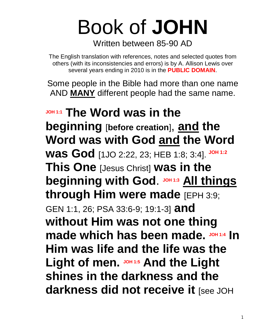# Book of **JOHN**

Written between 85-90 AD

The English translation with references, notes and selected quotes from others (with its inconsistencies and errors) is by A. Allison Lewis over several years ending in 2010 is in the **PUBLIC DOMAIN**.

Some people in the Bible had more than one name AND **MANY** different people had the same name.

**JOH 1:1 The Word was in the beginning** [**before creation**], **and the Word was with God and the Word was God** [1JO 2:22, 23; HEB 1:8; 3:4]. **JOH 1:2 This One** [Jesus Christ] **was in the beginning with God. JOH 1:3 All things through Him were made** [EPH 3:9; GEN 1:1, 26; PSA 33:6-9; 19:1-3] **and without Him was not one thing made which has been made. JOH 1:4 In Him was life and the life was the Light of men. JOH 1:5 And the Light shines in the darkness and the darkness did not receive it** [see JOH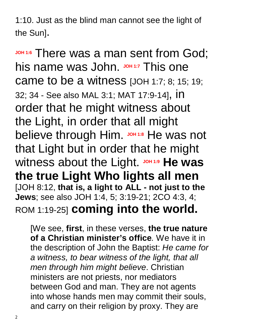1:10. Just as the blind man cannot see the light of the Sun].

**JOH 1:6** There was a man sent from God; his name was John. JOH 1:7 This one came to be a witness [JOH 1:7; 8; 15; 19; 32; 34 - See also MAL 3:1; MAT 17:9-14], in order that he might witness about the Light, in order that all might **believe through Him. JOH 1:8 He was not** that Light but in order that he might witness about the Light. JOH 1:9 He was **the true Light Who lights all men** [JOH 8:12, **that is, a light to ALL - not just to the Jews**; see also JOH 1:4, 5; 3:19-21; 2CO 4:3, 4; ROM 1:19-25] **coming into the world.** 

[We see, **first**, in these verses, **the true nature of a Christian minister's office***.* We have it in the description of John the Baptist: *He came for a witness, to bear witness of the light, that all men through him might believe*. Christian ministers are not priests, nor mediators between God and man. They are not agents into whose hands men may commit their souls, and carry on their religion by proxy. They are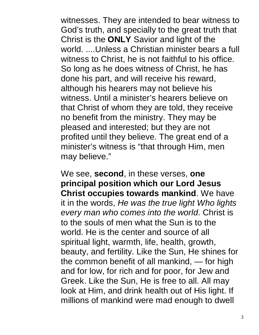witnesses. They are intended to bear witness to God's truth, and specially to the great truth that Christ is the **ONLY** Savior and light of the world. ....Unless a Christian minister bears a full witness to Christ, he is not faithful to his office. So long as he does witness of Christ, he has done his part, and will receive his reward, although his hearers may not believe his witness. Until a minister's hearers believe on that Christ of whom they are told, they receive no benefit from the ministry. They may be pleased and interested; but they are not profited until they believe. The great end of a minister's witness is "that through Him, men may believe."

We see, **second**, in these verses, **one principal position which our Lord Jesus Christ occupies towards mankind**. We have it in the words, *He was the true light Who lights every man who comes into the world*. Christ is to the souls of men what the Sun is to the world. He is the center and source of all spiritual light, warmth, life, health, growth, beauty, and fertility. Like the Sun, He shines for the common benefit of all mankind, — for high and for low, for rich and for poor, for Jew and Greek. Like the Sun, He is free to all. All may look at Him, and drink health out of His light. If millions of mankind were mad enough to dwell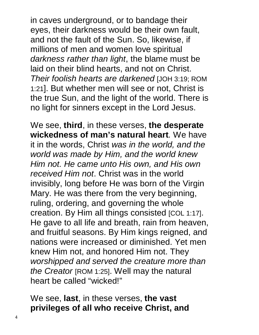in caves underground, or to bandage their eyes, their darkness would be their own fault, and not the fault of the Sun. So, likewise, if millions of men and women love spiritual *darkness rather than light*, the blame must be laid on their blind hearts, and not on Christ. *Their foolish hearts are darkened* [JOH 3:19; ROM 1:21]. But whether men will see or not, Christ is the true Sun, and the light of the world. There is no light for sinners except in the Lord Jesus.

We see, **third**, in these verses, **the desperate wickedness of man's natural heart***.* We have it in the words, Christ *was in the world, and the world was made by Him, and the world knew Him not. He came unto His own, and His own received Him not*. Christ was in the world invisibly, long before He was born of the Virgin Mary. He was there from the very beginning, ruling, ordering, and governing the whole creation. By Him all things consisted [COL 1:17]. He gave to all life and breath, rain from heaven, and fruitful seasons. By Him kings reigned, and nations were increased or diminished. Yet men knew Him not, and honored Him not. They *worshipped and served the creature more than the Creator* [ROM 1:25]. Well may the natural heart be called "wicked!"

We see, **last**, in these verses, **the vast privileges of all who receive Christ, and**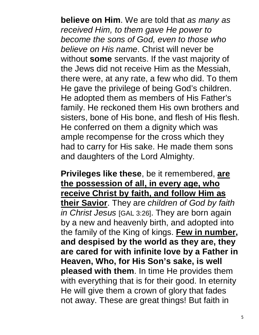**believe on Him**. We are told that *as many as received Him, to them gave He power to become the sons of God, even to those who believe on His name*. Christ will never be without **some** servants. If the vast majority of the Jews did not receive Him as the Messiah, there were, at any rate, a few who did. To them He gave the privilege of being God's children. He adopted them as members of His Father's family. He reckoned them His own brothers and sisters, bone of His bone, and flesh of His flesh. He conferred on them a dignity which was ample recompense for the cross which they had to carry for His sake. He made them sons and daughters of the Lord Almighty.

**Privileges like these**, be it remembered, **are the possession of all, in every age, who receive Christ by faith, and follow Him as their Savior**. They are *children of God by faith in Christ Jesus* [GAL 3:26]. They are born again by a new and heavenly birth, and adopted into the family of the King of kings. **Few in number, and despised by the world as they are, they are cared for with infinite love by a Father in Heaven, Who, for His Son's sake, is well pleased with them**. In time He provides them with everything that is for their good. In eternity He will give them a crown of glory that fades not away. These are great things! But faith in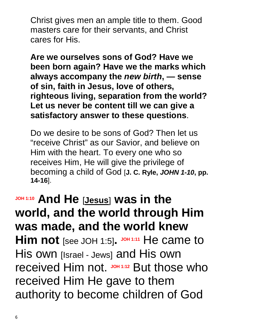Christ gives men an ample title to them. Good masters care for their servants, and Christ cares for His.

**Are we ourselves sons of God? Have we been born again? Have we the marks which always accompany the** *new birth***, — sense of sin, faith in Jesus, love of others, righteous living, separation from the world? Let us never be content till we can give a satisfactory answer to these questions**.

Do we desire to be sons of God? Then let us "receive Christ" as our Savior, and believe on Him with the heart. To every one who so receives Him, He will give the privilege of becoming a child of God [**J. C. Ryle,** *JOHN 1-10***, pp. 14-16**].

**JOH 1:10 And He** [**Jesus**] **was in the world, and the world through Him was made, and the world knew Him not** [see JOH 1:5]. JOH 1:11 He came to His own [Israel - Jews] and His own received Him not. **JOH 1:12** But those who received Him He gave to them authority to become children of God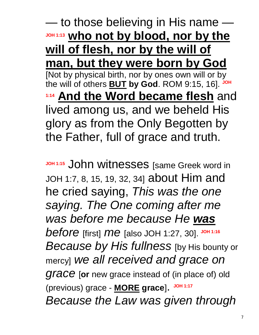— to those believing in His name — **JOH 1:13 who not by blood, nor by the will of flesh, nor by the will of man, but they were born by God** [Not by physical birth, nor by ones own will or by the will of others **BUT by God**. ROM 9:15, 16]. **JOH 1:14 And the Word became flesh** and lived among us, and we beheld His glory as from the Only Begotten by the Father, full of grace and truth.

**JOH 1:15** John witnesses [same Greek word in JOH 1:7, 8, 15, 19, 32, 34] about Him and he cried saying, *This was the one saying. The One coming after me was before me because He was before* [first] *me* [also JOH 1:27, 30]. **JOH 1:16** *Because by His fullness* [by His bounty or mercy] *we all received and grace on grace* [**or** new grace instead of (in place of) old (previous) grace - **MORE grace**]. **JOH 1:17** *Because the Law was given through*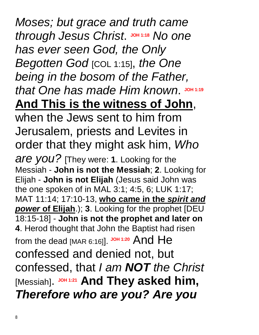### *Moses; but grace and truth came*   $t$ *hrough Jesus Christ.* JOH 1:18 *No one has ever seen God, the Only Begotten God* [COL 1:15], *the One being in the bosom of the Father,*   $x$  that One has made Him known. JOH 1:19 **And This is the witness of John**,

when the Jews sent to him from Jerusalem, priests and Levites in order that they might ask him, *Who are you?* [They were: **1**. Looking for the Messiah - **John is not the Messiah**; **2**. Looking for Elijah - **John is not Elijah** (Jesus said John was the one spoken of in MAL 3:1; 4:5, 6; LUK 1:17; MAT 11:14; 17:10-13, **who came in the** *spirit and power* **of Elijah**.); **3**. Looking for the prophet [DEU 18:15-18] - **John is not the prophet and later on 4**. Herod thought that John the Baptist had risen from the dead [MAR 6:16]]. **JOH 1:20** And He confessed and denied not, but confessed, that *I am NOT the Christ* [Messiah]. **JOH 1:21 And They asked him,**  *Therefore who are you? Are you*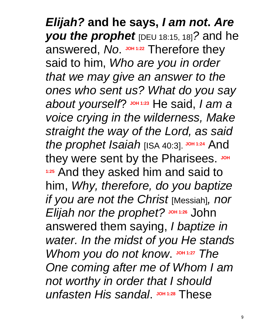*Elijah?* **and he says,** *I am not***.** *Are you the prophet* [DEU 18:15, 18]*?* and he answered, No. JOH 1:22 Therefore they said to him, *Who are you in order that we may give an answer to the ones who sent us? What do you say about yourself*? **JOH 1:23** He said, *I am a voice crying in the wilderness, Make straight the way of the Lord, as said the prophet Isaiah* [ISA 40:3]. **JOH 1:24** And they were sent by the Pharisees. JOH **1:25** And they asked him and said to him, *Why, therefore, do you baptize if you are not the Christ* [Messiah]*, nor Elijah nor the prophet?* **JOH 1:26** John answered them saying, *I baptize in water. In the midst of you He stands Whom you do not know.* JOH 1:27 *The One coming after me of Whom I am not worthy in order that I should*  **unfasten His sandal.** JOH 1:28 These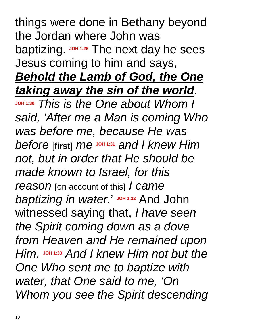things were done in Bethany beyond the Jordan where John was baptizing. **JOH 1:29** The next day he sees Jesus coming to him and says, *Behold the Lamb of God, the One taking away the sin of the world*. **JOH 1:30** *This is the One about Whom I said, 'After me a Man is coming Who was before me, because He was before* [**first**] *me* **JOH 1:31** *and I knew Him not, but in order that He should be made known to Israel, for this reason* [on account of this] *I came baptizing in water*.' **JOH 1:32** And John witnessed saying that, *I have seen the Spirit coming down as a dove from Heaven and He remained upon Him*. **JOH 1:33** *And I knew Him not but the One Who sent me to baptize with water, that One said to me, 'On Whom you see the Spirit descending*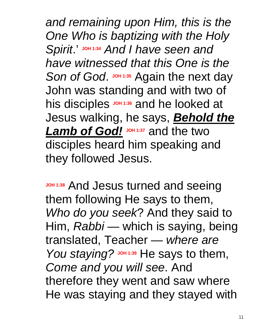*and remaining upon Him, this is the One Who is baptizing with the Holy Spirit*.' **JOH 1:34** *And I have seen and have witnessed that this One is the*  Son of God. JOH 1:35 Again the next day John was standing and with two of his disciples **JOH 1:36** and he looked at Jesus walking, he says, *Behold the Lamb of God!* **JOH 1:37** and the two disciples heard him speaking and they followed Jesus.

**JOH 1:38** And Jesus turned and seeing them following He says to them, *Who do you seek*? And they said to Him, *Rabbi* — which is saying, being translated, Teacher — *where are You staying?* JOH 1:39 He says to them, *Come and you will see*. And therefore they went and saw where He was staying and they stayed with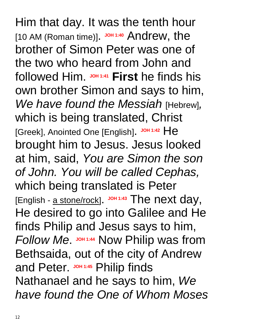Him that day. It was the tenth hour [10 AM (Roman time)]. JOH 1:40 Andrew, the brother of Simon Peter was one of the two who heard from John and followed Him. **JOH 1:41 First** he finds his own brother Simon and says to him, *We have found the Messiah* [Hebrew]*,* which is being translated, Christ [Greek], Anointed One [English]. **JOH 1:42** He brought him to Jesus. Jesus looked at him, said, *You are Simon the son of John. You will be called Cephas,* which being translated is Peter [English - a stone/rock]. **JOH 1:43** The next day, He desired to go into Galilee and He finds Philip and Jesus says to him, *Follow Me*. **JOH 1:44** Now Philip was from Bethsaida, out of the city of Andrew **and Peter.** JOH 1:45 Philip finds Nathanael and he says to him, *We have found the One of Whom Moses*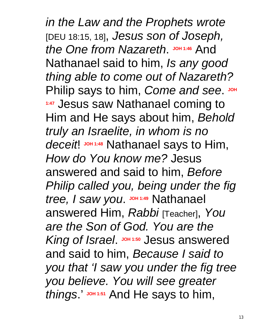*in the Law and the Prophets wrote* [DEU 18:15, 18], *Jesus son of Joseph,*  the One from Nazareth. JOH 1:46 And Nathanael said to him, *Is any good thing able to come out of Nazareth?*  **Philip says to him, Come and see.** JOH **1:47** Jesus saw Nathanael coming to Him and He says about him, *Behold truly an Israelite, in whom is no deceit*! **JOH 1:48** Nathanael says to Him, *How do You know me?* Jesus answered and said to him, *Before Philip called you, being under the fig*  tree, I saw you. JOH 1:49 Nathanael answered Him, *Rabbi* [Teacher], *You are the Son of God. You are the*  King of Israel. Johns 1:50 Jesus answered and said to him, *Because I said to you that 'I saw you under the fig tree you believe. You will see greater things*.' **JOH 1:51** And He says to him,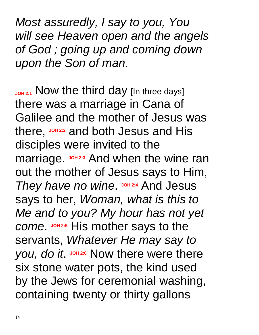*Most assuredly, I say to you, You will see Heaven open and the angels of God ; going up and coming down upon the Son of man*.

JOH<sub>2:1</sub> Now the third day [In three days] there was a marriage in Cana of Galilee and the mother of Jesus was there, **JOH 2:2** and both Jesus and His disciples were invited to the marriage. **JOH 2:3** And when the wine ran out the mother of Jesus says to Him, *They have no wine.*  $J$ OH 2:4 And Jesus says to her, *Woman, what is this to Me and to you? My hour has not yet come.*  $J$  DH 2:5 His mother says to the servants, *Whatever He may say to you, do it.*  $J$  oh 2:6 Now there were there six stone water pots, the kind used by the Jews for ceremonial washing, containing twenty or thirty gallons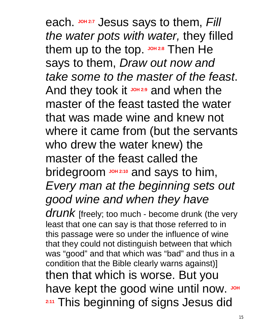each. **JOH 2:7** Jesus says to them, *Fill the water pots with water,* they filled them up to the top. JOH 2:8 Then He says to them, *Draw out now and take some to the master of the feast*. And they took it **JOH 2:9** and when the master of the feast tasted the water that was made wine and knew not where it came from (but the servants who drew the water knew) the master of the feast called the bridegroom **JOH 2:10** and says to him, *Every man at the beginning sets out good wine and when they have* 

drunk [freely; too much - become drunk (the very least that one can say is that those referred to in this passage were so under the influence of wine that they could not distinguish between that which was "good" and that which was "bad" and thus in a condition that the Bible clearly warns against)] then that which is worse. But you have kept the good wine until now. JOH **2:11** This beginning of signs Jesus did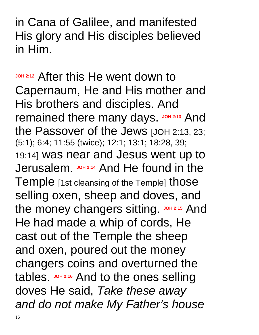in Cana of Galilee, and manifested His glory and His disciples believed in Him.

**JOH 2:12** After this He went down to Capernaum, He and His mother and His brothers and disciples. And remained there many days. JOH 2:13 And the Passover of the Jews [JOH 2:13, 23; (5:1); 6:4; 11:55 (twice); 12:1; 13:1; 18:28, 39; 19:14] was near and Jesus went up to Jerusalem. **JOH 2:14** And He found in the Temple [1st cleansing of the Temple] those selling oxen, sheep and doves, and the money changers sitting. JOH 2:15 And He had made a whip of cords, He cast out of the Temple the sheep and oxen, poured out the money changers coins and overturned the tables. JOH 2:16 And to the ones selling doves He said, *Take these away and do not make My Father's house*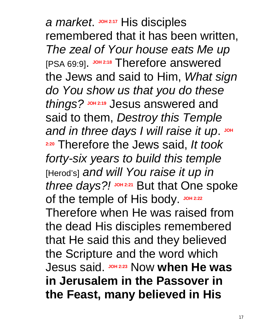*a market*. **JOH 2:17** His disciples remembered that it has been written, *The zeal of Your house eats Me up* [PSA 69:9]. **JOH 2:18** Therefore answered the Jews and said to Him, *What sign do You show us that you do these things?* Jesus answered and said to them, *Destroy this Temple*  and in three days I will raise it up. JOH **2:20** Therefore the Jews said, *It took forty-six years to build this temple* [Herod's] *and will You raise it up in three days?!* **JOH 2:21** But that One spoke of the temple of His body. JOH 2:22 Therefore when He was raised from the dead His disciples remembered that He said this and they believed the Scripture and the word which **Jesus said.** JOH 2:23 Now when He was **in Jerusalem in the Passover in the Feast, many believed in His**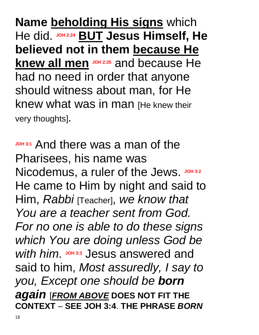**Name beholding His signs** which He did. **JOH 2:24 BUT Jesus Himself, He believed not in them because He knew all men JOH 2:25** and because He had no need in order that anyone should witness about man, for He knew what was in man [He knew their very thoughts].

**JOH 3:1** And there was a man of the Pharisees, his name was Nicodemus, a ruler of the Jews. JOH 3:2 He came to Him by night and said to Him, *Rabbi* [Teacher], *we know that You are a teacher sent from God. For no one is able to do these signs which You are doing unless God be*  With him. **JOH** 3:3</sub> Jesus answered and said to him, *Most assuredly, I say to you, Except one should be born again* [*FROM ABOVE* **DOES NOT FIT THE CONTEXT** – **SEE JOH 3:4**. **THE PHRASE** *BORN*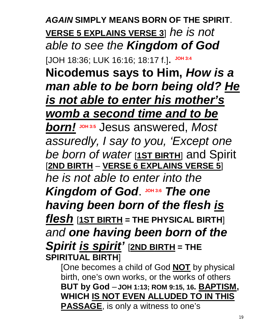*AGAIN* **SIMPLY MEANS BORN OF THE SPIRIT**. **VERSE 5 EXPLAINS VERSE 3**] *he is not able to see the Kingdom of God*

[JOH 18:36; LUK 16:16; 18:17 f.]. **JOH 3:4**

**Nicodemus says to Him,** *How is a man able to be born being old? He is not able to enter his mother's womb a second time and to be* 

*born!* **JOH 3:5** Jesus answered, *Most assuredly, I say to you, 'Except one be born of water* [**1ST BIRTH**] and Spirit [**2ND BIRTH** – **VERSE 6 EXPLAINS VERSE 5**] *he is not able to enter into the*  **Kingdom of God. JOH 3:6 The one** *having been born of the flesh is flesh* [**1ST BIRTH = THE PHYSICAL BIRTH**] *and one having been born of the Spirit is spirit'* [**2ND BIRTH = THE SPIRITUAL BIRTH**]

[One becomes a child of God **NOT** by physical birth, one's own works, or the works of others **BUT by God** – **JOH 1:13; ROM 9:15, 16. BAPTISM, WHICH IS NOT EVEN ALLUDED TO IN THIS PASSAGE**, is only a witness to one's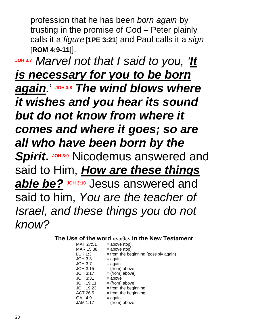profession that he has been *born again* by trusting in the promise of God – Peter plainly calls it a *figure* [**1PE 3:21**] and Paul calls it a *sign* [**ROM 4:9-11**]].

**JOH 3:7** *Marvel not that I said to you, 'It is necessary for you to be born again.*' **JOH 3:8** *The wind blows where it wishes and you hear its sound but do not know from where it comes and where it goes; so are all who have been born by the Spirit.* JOH 3:9 Nicodemus answered and said to Him, *How are these things*  able be? JOH 3:10 Jesus answered and said to him, *You* a*re the teacher of Israel, and these things you do not know?*

#### **The Use of the word** ανωθεν **in the New Testament**

| MAT 27:51       | $=$ above (top)                         |
|-----------------|-----------------------------------------|
| MAR 15:38       | $=$ above (top)                         |
| LUK 1:3         | $=$ from the beginning (possibly again) |
| JOH 3:3         | = again                                 |
| JOH 3:7         | = again                                 |
| JOH 3:15        | $=$ (from) above                        |
| <b>JOH 3:17</b> | $=$ (from) above]                       |
| JOH 3:31        | $=$ above                               |
| JOH 19:11       | $=$ (from) above                        |
| JOH 19:23       | $=$ from the beginning                  |
| ACT 26:5        | $=$ from the beginning                  |
| GAL 4:9         | = again                                 |
| <b>JAM 1:17</b> | $=$ (from) above                        |
|                 |                                         |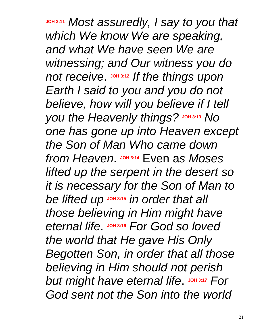**JOH 3:11** *Most assuredly, I say to you that which We know We are speaking, and what We have seen We are witnessing; and Our witness you do not receive.*  $\frac{J\text{OH}}{3:12}$  *If the things upon Earth I said to you and you do not believe, how will you believe if I tell you the Heavenly things?* JOH 3:13 *No one has gone up into Heaven except the Son of Man Who came down*   $from Heaven.$  JOH 3:14 Even as Moses *lifted up the serpent in the desert so it is necessary for the Son of Man to be lifted up* **JOH 3:15** *in order that all those believing in Him might have*   $B$  *eternal life*.  $J$   $O$   $H$   $3:16$  *For God* so loved *the world that He gave His Only Begotten Son, in order that all those believing in Him should not perish*  **but might have eternal life. JOH 3:17 For** *God sent not the Son into the world*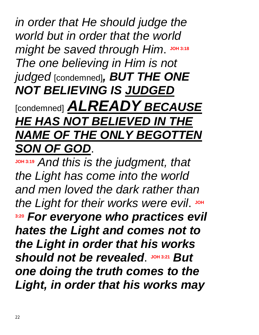*in order that He should judge the world but in order that the world*   $might$  be saved through Him. JOH 3:18 *The one believing in Him is not judged* [condemned]*, BUT THE ONE NOT BELIEVING IS JUDGED* [condemned] *ALREADY BECAUSE HE HAS NOT BELIEVED IN THE NAME OF THE ONLY BEGOTTEN SON OF GOD*.

**JOH 3:19** *And this is the judgment, that the Light has come into the world and men loved the dark rather than*  the Light for their works were evil. JOH **3:20** *For everyone who practices evil hates the Light and comes not to the Light in order that his works*  **should not be revealed. JOH 3:21 But** *one doing the truth comes to the Light, in order that his works may*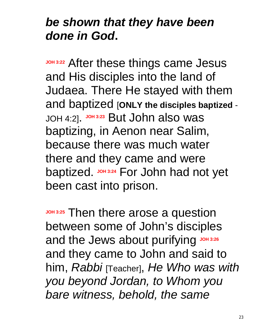#### *be shown that they have been done in God***.**

**JOH 3:22 After these things came Jesus** and His disciples into the land of Judaea. There He stayed with them and baptized [**ONLY the disciples baptized** - JOH 4:2]. **JOH 3:23** But John also was baptizing, in Aenon near Salim, because there was much water there and they came and were baptized. **JOH 3:24** For John had not yet been cast into prison.

**JOH 3:25** Then there arose a question between some of John's disciples and the Jews about purifying JOH 3:26 and they came to John and said to him, *Rabbi* [Teacher], *He Who was with you beyond Jordan, to Whom you bare witness, behold, the same*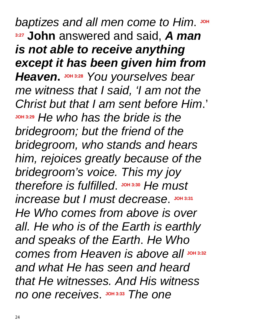*baptizes and all men come to Him* **3:27 John** answered and said, *A man is not able to receive anything except it has been given him from*  **Heaven.** JOH 3:28 You yourselves bear *me witness that I said, 'I am not the Christ but that I am sent before Him*.' **JOH 3:29** *He who has the bride is the bridegroom; but the friend of the bridegroom, who stands and hears him, rejoices greatly because of the bridegroom's voice. This my joy*   $L$  *therefore* is fulfilled.  $J$   $O$   $H$   $3:30$  *He must*  $inc$ rease but I must decrease. JOH 3:31 *He Who comes from above is over all. He who is of the Earth is earthly and speaks of the Earth*. *He Who comes from Heaven is above all* **JOH 3:32** *and what He has seen and heard that He witnesses. And His witness*   $n$  *no one receives*.  $\frac{304333}{n}$  *The one*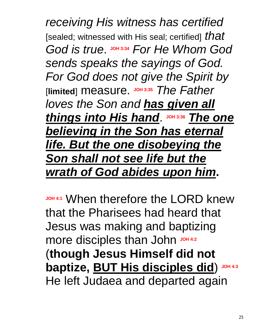*receiving His witness has certified* [sealed; witnessed with His seal; certified] *that*   $God$  *is true.*  $J$ <sup>OH 3:34</sup> *For He Whom God sends speaks the sayings of God. For God does not give the Spirit by* [**limited**] measure. **JOH 3:35** *The Father loves the Son and has given all things into His hand*. **JOH 3:36** *The one believing in the Son has eternal life. But the one disobeying the Son shall not see life but the wrath of God abides upon him***.** 

**JOH 4:1** When therefore the LORD knew that the Pharisees had heard that Jesus was making and baptizing more disciples than John John **JOH 4:2** (**though Jesus Himself did not baptize, BUT His disciples did**) **JOH 4:3** He left Judaea and departed again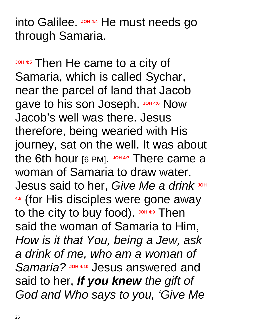into Galilee. **JOH 4:4** He must needs go through Samaria.

**JOH 4:5** Then He came to a city of Samaria, which is called Sychar, near the parcel of land that Jacob gave to his son Joseph. JOH 4:6 Now Jacob's well was there. Jesus therefore, being wearied with His journey, sat on the well. It was about the 6th hour [6 PM]. JOH 4:7 There came a woman of Samaria to draw water.  $J$ esus said to her, *Give Me a drink* JOH **4:8** (for His disciples were gone away to the city to buy food). JOH 4:9 Then said the woman of Samaria to Him, *How is it that You, being a Jew, ask a drink of me, who am a woman of*  Samaria? **JOH 4:10** Jesus answered and said to her, *If you knew the gift of God and Who says to you, 'Give Me*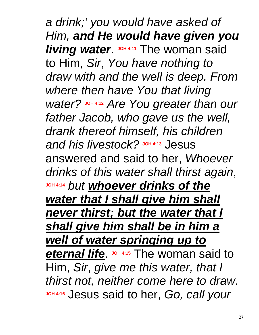*a drink;' you would have asked of Him, and He would have given you living water.* JOH 4:11 The woman said to Him, *Sir*, *You have nothing to draw with and the well is deep. From where then have You that living water?* **JOH 4:12** *Are You greater than our father Jacob, who gave us the well, drank thereof himself, his children and his livestock?* **JOH 4:13** Jesus answered and said to her, *Whoever drinks of this water shall thirst again*, **JOH 4:14** *but whoever drinks of the water that I shall give him shall never thirst; but the water that I shall give him shall be in him a well of water springing up to*  **eternal life**. **JOH 4:15** The woman said to Him, *Sir*, *give me this water, that I thirst not, neither come here to draw*. **JOH 4:16** Jesus said to her, *Go, call your*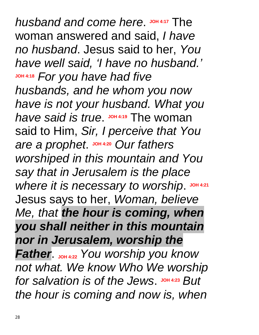$h$ usband and come here. JOH 4:17 The woman answered and said, *I have no husband*. Jesus said to her, *You have well said, 'I have no husband.'* **JOH 4:18** *For you have had five husbands, and he whom you now have is not your husband. What you*  have said is true. **JOH 4:19** The woman said to Him, *Sir, I perceive that You*   $\alpha$  *a prophet*  $\frac{1044.20}{100}$  *Our fathers worshiped in this mountain and You say that in Jerusalem is the place where it is necessary to worship*. **JOH 4:21** Jesus says to her, *Woman, believe Me, that the hour is coming, when you shall neither in this mountain nor in Jerusalem, worship the Father.* **JOH** 4:22 You worship you know *not what. We know Who We worship for* salvation is of the Jews. JOH 4:23 But *the hour is coming and now is, when*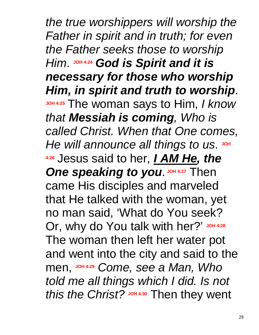*the true worshippers will worship the Father in spirit and in truth; for even the Father seeks those to worship Him*. **JOH 4:24** *God is Spirit and it is necessary for those who worship Him, in spirit and truth to worship*. **JOH 4:25** The woman says to Him, *I know that Messiah is coming, Who is called Christ. When that One comes,*  He will announce all things to us. JOH **4:26** Jesus said to her, *I AM He, the*  **One speaking to you.** JOH 4:27 Then came His disciples and marveled that He talked with the woman, yet no man said, 'What do You seek? Or, why do You talk with her?' JOH 4:28 The woman then left her water pot and went into the city and said to the men, **JOH 4:29** *Come, see a Man, Who told me all things which I did. Is not this the Christ?* JOH 4:30 Then they went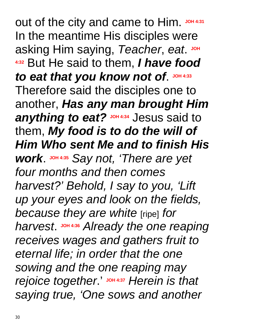out of the city and came to Him. **JOH 4:31** In the meantime His disciples were asking Him saying, Teacher, eat. JOH **4:32** But He said to them, *I have food*  to eat that you know not of. JOH 4:33 Therefore said the disciples one to another, *Has any man brought Him*  **anything to eat?** Joh 4:34 Jesus said to them, *My food is to do the will of Him Who sent Me and to finish His work*. **JOH 4:35** *Say not, 'There are yet four months and then comes harvest?' Behold, I say to you, 'Lift up your eyes and look on the fields, because they are white* [ripe] *for harvest*. **JOH 4:36** *Already the one reaping receives wages and gathers fruit to eternal life; in order that the one sowing and the one reaping may rejoice together*.' **JOH 4:37** *Herein is that saying true, 'One sows and another*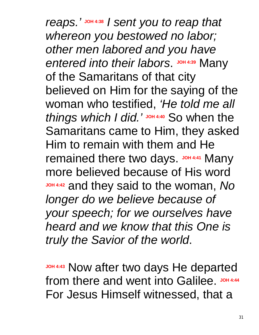*reaps.'* **JOH 4:38** *I sent you to reap that whereon you bestowed no labor; other men labored and you have*  **entered into their labors.** JOH 4:39 Many of the Samaritans of that city believed on Him for the saying of the woman who testified, *'He told me all things which I did.'* **JOH 4:40** So when the Samaritans came to Him, they asked Him to remain with them and He remained there two days. JOH 4:41 Many more believed because of His word **JOH 4:42** and they said to the woman, *No longer do we believe because of your speech; for we ourselves have heard and we know that this One is truly the Savior of the world*.

**JOH 4:43** Now after two days He departed from there and went into Galilee. JOH 4:44 For Jesus Himself witnessed, that a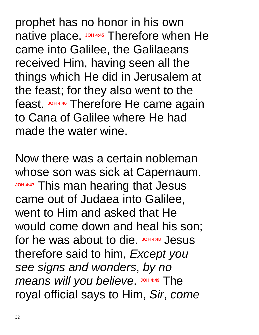prophet has no honor in his own native place. **JOH 4:45** Therefore when He came into Galilee, the Galilaeans received Him, having seen all the things which He did in Jerusalem at the feast; for they also went to the feast. **JOH 4:46** Therefore He came again to Cana of Galilee where He had made the water wine.

Now there was a certain nobleman whose son was sick at Capernaum. **JOH 4:47 This man hearing that Jesus** came out of Judaea into Galilee, went to Him and asked that He would come down and heal his son; for he was about to die. John4:48 Jesus therefore said to him, *Except you see signs and wonders*, *by no*   $m$  *means will you believe.*  $J$  *you*  $4:49$  The royal official says to Him, *Sir*, *come*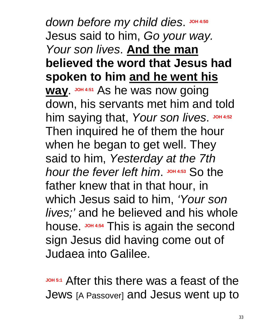$d$  *down before my child dies*. JOH 4:50 Jesus said to him, *Go your way. Your son lives*. **And the man believed the word that Jesus had spoken to him and he went his way.**  $J$ OH 4:51 As he was now going down, his servants met him and told him saying that, Your son lives. JOH 4:52 Then inquired he of them the hour when he began to get well. They said to him, *Yesterday at the 7th hour the fever left him.* JOH 4:53 So the father knew that in that hour, in which Jesus said to him, *'Your son lives;'* and he believed and his whole house. JOH 4:54 This is again the second sign Jesus did having come out of Judaea into Galilee.

**JOH 5:1** After this there was a feast of the Jews [A Passover] and Jesus went up to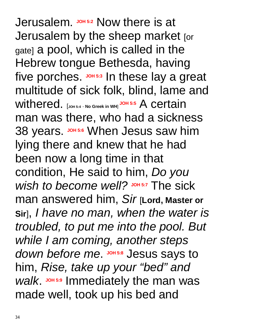Jerusalem. JOH<sub>5:2</sub> Now there is at Jerusalem by the sheep market [or gate] a pool, which is called in the Hebrew tongue Bethesda, having five porches. JOH 5:3 In these lay a great multitude of sick folk, blind, lame and withered. [**JOH 5:4** - **No Greek in WH**] **JOH 5:5** A certain man was there, who had a sickness 38 years. JOH 5:6 When Jesus saw him lying there and knew that he had been now a long time in that condition, He said to him, *Do you wish to become well?* JOH 5:7 The sick man answered him, *Sir* [**Lord, Master or Sir**], *I have no man, when the water is troubled, to put me into the pool. But while I am coming, another steps*  down before me. Johns:8 Jesus says to him, *Rise, take up your "bed" and*  Walk. JOH 5:9 Immediately the man was made well, took up his bed and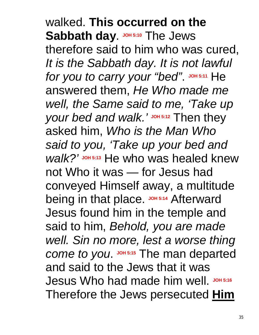walked. **This occurred on the**  Sabbath day. **JOH 5:10** The Jews therefore said to him who was cured, *It is the Sabbath day. It is not lawful*   $for you to carry your "bed"$ . JOH 5:11 He answered them, *He Who made me well, the Same said to me, 'Take up your bed and walk.'* JOH 5:12 Then they asked him, *Who is the Man Who said to you, 'Take up your bed and walk?'* **JOH 5:13** He who was healed knew not Who it was — for Jesus had conveyed Himself away, a multitude being in that place. **JOH 5:14** Afterward Jesus found him in the temple and said to him, *Behold, you are made well. Sin no more, lest a worse thing come to you.* JOH 5:15 The man departed and said to the Jews that it was Jesus Who had made him well. JOH 5:16 Therefore the Jews persecuted **Him**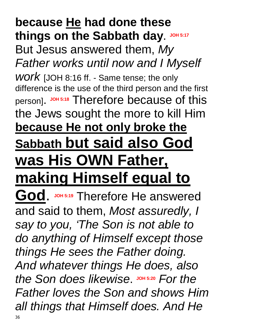#### **because He had done these things on the Sabbath day**. **JOH 5:17** But Jesus answered them, *My Father works until now and I Myself work* [JOH 8:16 ff. - Same tense; the only difference is the use of the third person and the first

person]. **JOH 5:18** Therefore because of this the Jews sought the more to kill Him **because He not only broke the Sabbath but said also God** 

## **was His OWN Father, making Himself equal to**

God. JOH 5:19 Therefore He answered and said to them, *Most assuredly, I say to you, 'The Son is not able to do anything of Himself except those things He sees the Father doing. And whatever things He does, also* the Son does likewise. JOH 5:20 For the *Father loves the Son and shows Him all things that Himself does. And He*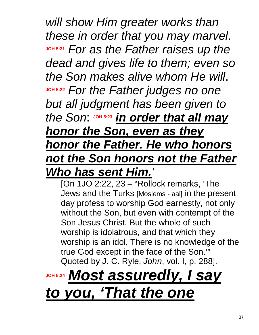*will show Him greater works than these in order that you may marvel*. **JOH 5:21** *For as the Father raises up the dead and gives life to them; even so the Son makes alive whom He will*. **JOH 5:22** *For the Father judges no one but all judgment has been given to the Son*: **JOH 5:23** *in order that all may honor the Son, even as they honor the Father. He who honors not the Son honors not the Father Who has sent Him.'*

[On 1JO 2:22, 23 – "Rollock remarks, 'The Jews and the Turks [Moslems - aal] in the present day profess to worship God earnestly, not only without the Son, but even with contempt of the Son Jesus Christ. But the whole of such worship is idolatrous, and that which they worship is an idol. There is no knowledge of the true God except in the face of the Son.'" Quoted by J. C. Ryle, *John*, vol. I, p. 288].

# **JOH 5:24** *Most assuredly, I say to you, 'That the one*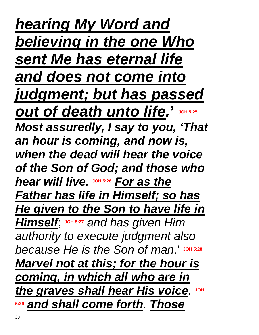*hearing My Word and believing in the one Who sent Me has eternal life and does not come into judgment; but has passed out of death unto life.* **' JOH 5:25** *Most assuredly, I say to you, 'That an hour is coming, and now is, when the dead will hear the voice of the Son of God; and those who hear will live.* **JOH 5:26** *For as the Father has life in Himself; so has He given to the Son to have life in Himself*; **JOH 5:27** *and has given Him authority to execute judgment also because He is the Son of man*.' **JOH 5:28** *Marvel not at this; for the hour is coming, in which all who are in the graves shall hear His voice, JOH* **5:29** *and shall come forth. Those*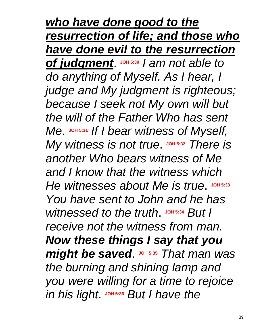*who have done good to the resurrection of life; and those who have done evil to the resurrection*  **of judgment**. JOH 5:30 / am not able to *do anything of Myself. As I hear, I judge and My judgment is righteous; because I seek not My own will but the will of the Father Who has sent Me*. **JOH 5:31** *If I bear witness of Myself, My witness is not true.* JOH 5:32 *There is another Who bears witness of Me and I know that the witness which*   $He$  witnesses about Me is true. JOH 5:33 *You have sent to John and he has witnessed to the truth.* JOH 5:34 *But I receive not the witness from man. Now these things I say that you might be saved.* JOH 5:35 *That man was the burning and shining lamp and you were willing for a time to rejoice in his light*. JOH 5:36 *But I have the*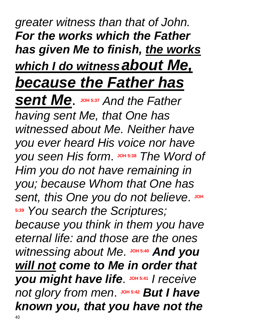# *greater witness than that of John. For the works which the Father has given Me to finish, the works which I do witnessabout Me, because the Father has*

**Sent Me.**  $\frac{1}{2}$  JOH 5:37 And the Father *having sent Me, that One has witnessed about Me. Neither have you ever heard His voice nor have*   $y$ ou seen His form. JOH 5:38 The Word of *Him you do not have remaining in you; because Whom that One has*   $Sent$ , this One you do not believe. JOH **5:39** *You search the Scriptures; because you think in them you have eternal life: and those are the ones witnessing* about Me. JOH 5:40 And you *will not come to Me in order that you might have life.* JOH 5:41 / receive  $not$  *glory* from men.  $J$  DH 5:42 *But I have known you, that you have not the*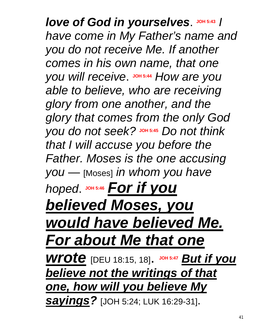# Iove of God in yourselves. JOH 5:43 / *have come in My Father's name and you do not receive Me. If another comes in his own name, that one you will receive.*  $J$   $O$   $H$   $5:44$  *How are you able to believe, who are receiving glory from one another, and the glory that comes from the only God*   $y$ ou *do* not seek? JOH 5:45 *Do* not think *that I will accuse you before the Father. Moses is the one accusing you* — [Moses] *in whom you have hoped*. **JOH 5:46** *For if you believed Moses, you would have believed Me. For about Me that one wrote* [DEU 18:15, 18]. **JOH 5:47** *But if you believe not the writings of that one, how will you believe My sayings?* [JOH 5:24; LUK 16:29-31].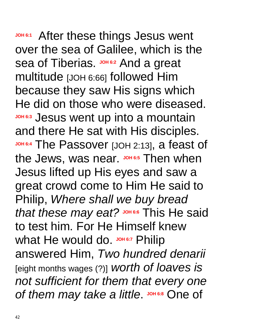JOH<sub>6:1</sub> After these things Jesus went over the sea of Galilee, which is the sea of Tiberias. **JOH 6:2** And a great multitude [JOH 6:66] followed Him because they saw His signs which He did on those who were diseased. **JOH 6:3** Jesus went up into a mountain and there He sat with His disciples. **JOH 6:4** The Passover [JOH 2:13], a feast of the Jews, was near. **JOH 6:5** Then when Jesus lifted up His eyes and saw a great crowd come to Him He said to Philip, *Where shall we buy bread that these may eat?* **JOH 6:6** This He said to test him. For He Himself knew What He would do. JOH 6:7 Philip answered Him, *Two hundred denarii* [eight months wages (?)] *worth of loaves is not sufficient for them that every one*   $of$  *them may take a little*. JOH 6:8 One of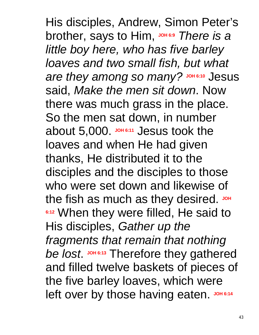His disciples, Andrew, Simon Peter's brother, says to Him, **JOH 6:9** *There is a little boy here, who has five barley loaves and two small fish, but what*   $\alpha$  *are they among so many?* Joh 6:10 Jesus said, *Make the men sit down*. Now there was much grass in the place. So the men sat down, in number about 5,000. **JOH 6:11** Jesus took the loaves and when He had given thanks, He distributed it to the disciples and the disciples to those who were set down and likewise of the fish as much as they desired. JOH **6:12 When they were filled, He said to** His disciples, *Gather up the fragments that remain that nothing be lost* **JOH 6:13** Therefore they gathered and filled twelve baskets of pieces of the five barley loaves, which were left over by those having eaten. JOH 6:14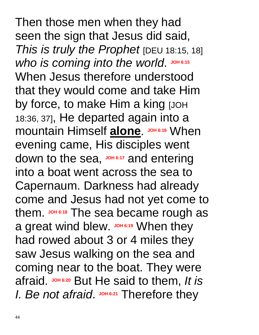Then those men when they had seen the sign that Jesus did said, *This is truly the Prophet* [DEU 18:15, 18]  $W$ *ho* is coming into the world. JOH 6:15 When Jesus therefore understood that they would come and take Him by force, to make Him a king [JOH 18:36, 37], He departed again into a **mountain Himself alone.** JOH 6:16 When evening came, His disciples went down to the sea, **JOH 6:17** and entering into a boat went across the sea to Capernaum. Darkness had already come and Jesus had not yet come to them. **JOH 6:18** The sea became rough as a great wind blew. **JOH 6:19** When they had rowed about 3 or 4 miles they saw Jesus walking on the sea and coming near to the boat. They were afraid. **JOH 6:20** But He said to them, *It is I. Be not afraid.* JOH 6:21 Therefore they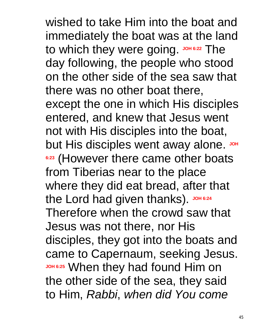wished to take Him into the boat and immediately the boat was at the land to which they were going. JOH 6:22 The day following, the people who stood on the other side of the sea saw that there was no other boat there, except the one in which His disciples entered, and knew that Jesus went not with His disciples into the boat, but His disciples went away alone. JOH **6:23** (However there came other boats from Tiberias near to the place where they did eat bread, after that the Lord had given thanks) JOH 6:24 Therefore when the crowd saw that Jesus was not there, nor His disciples, they got into the boats and came to Capernaum, seeking Jesus. **JOH 6:25** When they had found Him on the other side of the sea, they said to Him, *Rabbi*, *when did You come*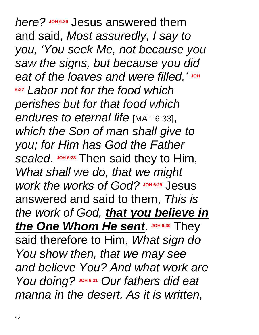*here?* **Jesus answered them** and said, *Most assuredly, I say to you, 'You seek Me, not because you saw the signs, but because you did*   $e$ at of the loaves and were filled.' JOH **6:27** *Labor not for the food which perishes but for that food which endures to eternal life* [MAT 6:33], *which the Son of man shall give to you; for Him has God the Father sealed.* JOH 6:28 Then said they to Him, *What shall we do, that we might*   $W$ *work* the *works* of God? Joh 6:29 Jesus answered and said to them, *This is the work of God, that you believe in the One Whom He sent.* JOH 6:30 They said therefore to Him, *What sign do You show then, that we may see and believe You? And what work are You doing?* **JOH 6:31** *Our fathers did eat manna in the desert. As it is written,*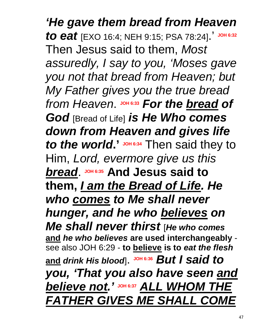*'He gave them bread from Heaven to eat* [EXO 16:4; NEH 9:15; PSA 78:24].' **JOH 6:32** Then Jesus said to them, *Most assuredly, I say to you, 'Moses gave you not that bread from Heaven; but My Father gives you the true bread from Heaven.* JOH 6:33 For the bread of *God* [Bread of Life] *is He Who comes down from Heaven and gives life*  to the world.' **JOH** 6:34 Then said they to Him, *Lord, evermore give us this bread*. **JOH 6:35 And Jesus said to them,** *I am the Bread of Life. He who comes to Me shall never hunger, and he who believes on Me shall never thirst* [*He who comes* **and** *he who believes* **are used interchangeably** see also JOH 6:29 - **to believe is to** *eat the flesh* **and** *drink His blood*]. **JOH 6:36** *But I said to you, 'That you also have seen and believe not.'* **JOH 6:37** *ALL WHOM THE FATHER GIVES ME SHALL COME*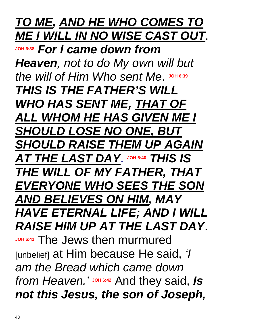### *TO ME, AND HE WHO COMES TO ME I WILL IN NO WISE CAST OUT*.

**JOH 6:38** *For I came down from Heaven, not to do My own will but*  the will of Him Who sent Me. JOH 6:39 *THIS IS THE FATHER'S WILL WHO HAS SENT ME, THAT OF ALL WHOM HE HAS GIVEN ME I SHOULD LOSE NO ONE, BUT SHOULD RAISE THEM UP AGAIN AT THE LAST DAY*. **JOH 6:40** *THIS IS THE WILL OF MY FATHER, THAT EVERYONE WHO SEES THE SON AND BELIEVES ON HIM, MAY HAVE ETERNAL LIFE; AND I WILL RAISE HIM UP AT THE LAST DAY*. **JOH 6:41** The Jews then murmured [unbelief] at Him because He said, *'I am the Bread which came down from Heaven.'* **JOH 6:42** And they said, *Is not this Jesus, the son of Joseph,*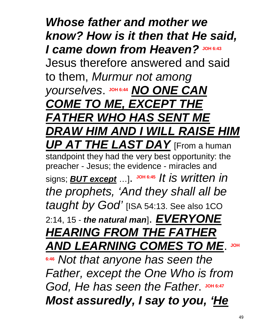*Whose father and mother we know? How is it then that He said, I came down from Heaven?* **JOH 6:43** Jesus therefore answered and said to them, *Murmur not among*   $Y$ OUISElves. JOH 6:44 **NO ONE CAN** *COME TO ME, EXCEPT THE FATHER WHO HAS SENT ME DRAW HIM AND I WILL RAISE HIM UP AT THE LAST DAY* [From a human standpoint they had the very best opportunity: the preacher - Jesus; the evidence - miracles and signs; *BUT except* …]. **JOH 6:45** *It is written in the prophets, 'And they shall all be taught by God'* [ISA 54:13. See also 1CO 2:14, 15 - *the natural man*]. *EVERYONE HEARING FROM THE FATHER*  **AND LEARNING COMES TO ME.** JOH **6:46** *Not that anyone has seen the Father, except the One Who is from*  God, He has seen the Father. JOH 6:47 *Most assuredly, I say to you, 'He*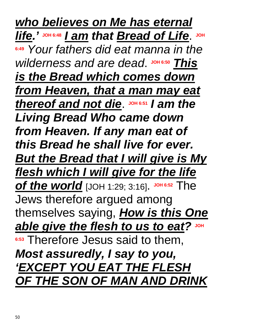*who believes on Me has eternal life.* $\frac{1}{2}$  **JOH 6:48 1 am that Bread of Life. JOH 6:49** *Your fathers did eat manna in the*   $wilderness$  *and are dead*. JOH 6:50 *This is the Bread which comes down from Heaven, that a man may eat thereof and not die.*  $J$  *soh* **6:51** *I* **am the** *Living Bread Who came down from Heaven. If any man eat of this Bread he shall live for ever. But the Bread that I will give is My flesh which I will give for the life of the world* [JOH 1:29; 3:16]. **JOH 6:52** The Jews therefore argued among themselves saying, *How is this One able give the flesh to us to eat?* **JOH 6:53** Therefore Jesus said to them, *Most assuredly, I say to you, 'EXCEPT YOU EAT THE FLESH OF THE SON OF MAN AND DRINK*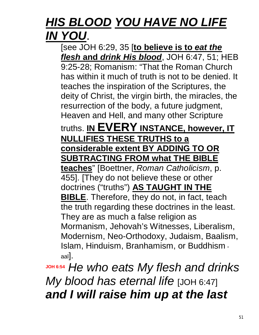### *HIS BLOOD YOU HAVE NO LIFE IN YOU*.

[see JOH 6:29, 35 [**to believe is to** *eat the flesh* **and** *drink His blood*, JOH 6:47, 51; HEB 9:25-28; Romanism: "That the Roman Church has within it much of truth is not to be denied. It teaches the inspiration of the Scriptures, the deity of Christ, the virgin birth, the miracles, the resurrection of the body, a future judgment, Heaven and Hell, and many other Scripture

#### truths. **IN EVERY INSTANCE, however, IT NULLIFIES THESE TRUTHS to a considerable extent BY ADDING TO OR SUBTRACTING FROM what THE BIBLE**

**teaches**" [Boettner, *Roman Catholicism*, p. 455]. [They do not believe these or other doctrines ("truths") **AS TAUGHT IN THE BIBLE**. Therefore, they do not, in fact, teach the truth regarding these doctrines in the least. They are as much a false religion as Mormanism, Jehovah's Witnesses, Liberalism, Modernism, Neo-Orthodoxy, Judaism, Baalism, Islam, Hinduism, Branhamism, or Buddhism aal].

**JOH 6:54** *He who eats My flesh and drinks My blood has eternal life* [JOH 6:47] *and I will raise him up at the last*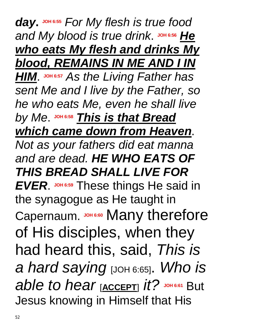*day***. JOH 6:55** *For My flesh is true food*  $A$  *and My blood is true drink.* JOH 6:56 He *who eats My flesh and drinks My blood, REMAINS IN ME AND I IN HIM*. **JOH 6:57** *As the Living Father has sent Me and I live by the Father, so he who eats Me, even he shall live by Me*. **JOH 6:58** *This is that Bread which came down from Heaven*. *Not as your fathers did eat manna and are dead. HE WHO EATS OF THIS BREAD SHALL LIVE FOR EVER.* JOH 6:59 These things He said in the synagogue as He taught in Capernaum. **JOH 6:60** Many therefore of His disciples, when they had heard this, said, *This is a hard saying* [JOH 6:65]. *Who is able to hear* [**ACCEPT**] *it?* **JOH 6:61** But Jesus knowing in Himself that His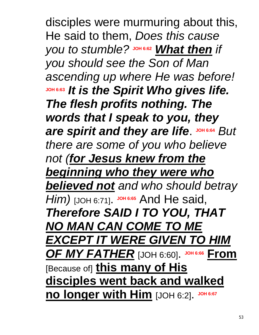disciples were murmuring about this, He said to them, *Does this cause you to stumble?* JOH 6:62 *What then if you should see the Son of Man ascending up where He was before!* **JOH 6:63** *It is the Spirit Who gives life. The flesh profits nothing. The words that I speak to you, they*  **are spirit and they are life. JOH 6:64 But** *there are some of you who believe not (for Jesus knew from the beginning who they were who believed not and who should betray Him)* [JOH 6:71]. JOH 6:65 And He said, *Therefore SAID I TO YOU, THAT NO MAN CAN COME TO ME EXCEPT IT WERE GIVEN TO HIM OF MY FATHER* [JOH 6:60]. **JOH 6:66 From** [Because of] **this many of His disciples went back and walked no longer with Him** [JOH 6:2]. JOH 6:67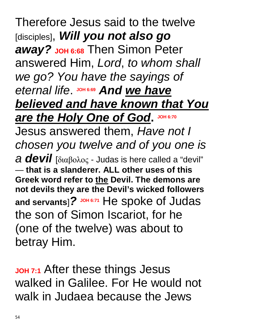Therefore Jesus said to the twelve [disciples], *Will you not also go away?* **JOH 6:68** Then Simon Peter answered Him, *Lord*, *to whom shall we go? You have the sayings of*   $B$  *eternal life.* JOH 6:69 *And we have believed and have known that You <u>Are the Holy One of God. JOH 6:70</u>***</u>** Jesus answered them, *Have not I chosen you twelve and of you one is a devil* [διαβολος - Judas is here called a "devil" — **that is a slanderer. ALL other uses of this Greek word refer to the Devil. The demons are not devils they are the Devil's wicked followers**  and servants]? JOH 6:71 He spoke of Judas the son of Simon Iscariot, for he (one of the twelve) was about to betray Him.

**JOH 7:1** After these things Jesus walked in Galilee. For He would not walk in Judaea because the Jews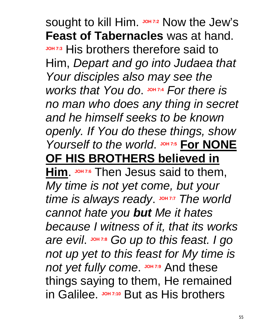sought to kill Him. **JOH 7:2** Now the Jew's **Feast of Tabernacles** was at hand. **JOH 7:3** His brothers therefore said to Him, *Depart and go into Judaea that Your disciples also may see the works that You do.*  $\frac{10}{100}$  *JOH* 7:4 *For there is no man who does any thing in secret and he himself seeks to be known openly. If You do these things, show Yourself to the world.* JOH 7:5 For NONE **OF HIS BROTHERS believed in** 

**Him**. **JOH 7:6** Then Jesus said to them, *My time is not yet come, but your time is always ready.* JOH 7:7 The world *cannot hate you but Me it hates because I witness of it, that its works are evil*. **JOH 7:8** *Go up to this feast. I go not up yet to this feast for My time is*  **not yet fully come. JOH 7:9 And these** things saying to them, He remained **in Galilee.** JOH 7:10 But as His brothers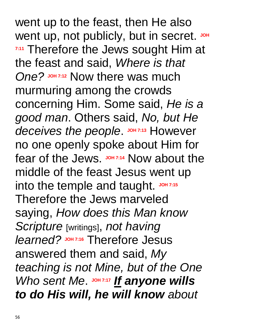went up to the feast, then He also went up, not publicly, but in secret. JOH **7:11** Therefore the Jews sought Him at the feast and said, *Where is that*  **One?** JOH 7:12 Now there was much murmuring among the crowds concerning Him. Some said, *He is a good man*. Others said, *No, but He*  deceives the people. JOH 7:13 However no one openly spoke about Him for fear of the Jews. **JOH 7:14** Now about the middle of the feast Jesus went up into the temple and taught. JOH 7:15 Therefore the Jews marveled saying, *How does this Man know Scripture* [writings], *not having learned?* **JOH 7:16** Therefore Jesus answered them and said, *My teaching is not Mine, but of the One*  Who sent Me. JOH 7:17 If anyone wills *to do His will, he will know about*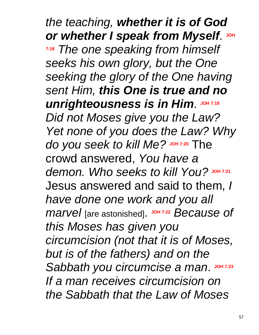*the teaching, whether it is of God or whether I speak from Myself.* **7:18** *The one speaking from himself seeks his own glory, but the One seeking the glory of the One having sent Him, this One is true and no*  **unrighteousness is in Him. JOH 7:19** *Did not Moses give you the Law? Yet none of you does the Law? Why do you seek to kill Me?* **JOH 7:20** The crowd answered, *You have a demon. Who seeks to kill You?* **JOH 7:21** Jesus answered and said to them, *I have done one work and you all marvel* [are astonished]. **JOH 7:22** *Because of this Moses has given you circumcision (not that it is of Moses, but is of the fathers) and on the*  Sabbath you circumcise a man. JOH 7:23 *If a man receives circumcision on the Sabbath that the Law of Moses*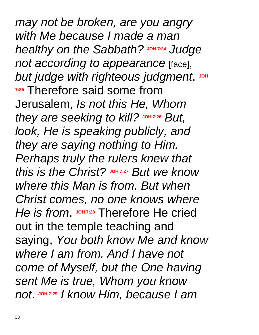*may not be broken, are you angry with Me because I made a man healthy* on the Sabbath? Judge *healthy* on the Sabbath? Judge *not according to appearance* [face], **but** judge with righteous judgment. JOH **7:25** Therefore said some from Jerusalem, *Is not this He, Whom they are seeking to kill?* **JOH 7:26** *But, look, He is speaking publicly, and they are saying nothing to Him. Perhaps truly the rulers knew that this is the Christ?* **JOH 7:27** *But we know where this Man is from. But when Christ comes, no one knows where*  He is from. JOH 7:28 Therefore He cried out in the temple teaching and saying, *You both know Me and know where I am from. And I have not come of Myself, but the One having sent Me is true, Whom you know not*. **JOH 7:29** *I know Him, because I am*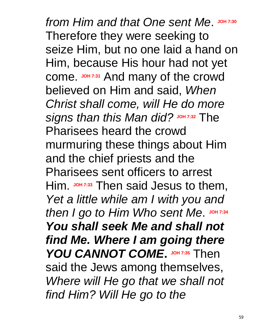$from$  *Him* and that One sent Me. JOH 7:30 Therefore they were seeking to seize Him, but no one laid a hand on Him, because His hour had not yet come. **JOH 7:31** And many of the crowd believed on Him and said, *When Christ shall come, will He do more signs than this Man did?* **JOH 7:32** The Pharisees heard the crowd murmuring these things about Him and the chief priests and the Pharisees sent officers to arrest Him. JOH 7:33 Then said Jesus to them, *Yet a little while am I with you and*  then I go to Him Who sent Me. JOH 7:34 *You shall seek Me and shall not find Me. Where I am going there YOU CANNOT COME.* JOH 7:35 Then said the Jews among themselves, *Where will He go that we shall not find Him? Will He go to the*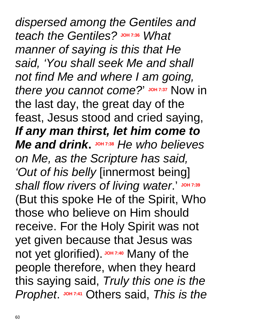*dispersed among the Gentiles and teach the Gentiles?* **JOH 7:36** *What manner of saying is this that He said, 'You shall seek Me and shall not find Me and where I am going, there* you cannot come?' JOH 7:37 Now in the last day, the great day of the feast, Jesus stood and cried saying, *If any man thirst, let him come to Me* and drink. **JOH 7:38** *He who believes on Me, as the Scripture has said, 'Out of his belly* [innermost being] *shall flow rivers of living water*.' **JOH 7:39** (But this spoke He of the Spirit, Who those who believe on Him should receive. For the Holy Spirit was not yet given because that Jesus was not yet glorified). JOH 7:40 Many of the people therefore, when they heard this saying said, *Truly this one is the Prophet.*  $J$ *OH 7:41</sub> Others said, <i>This is the*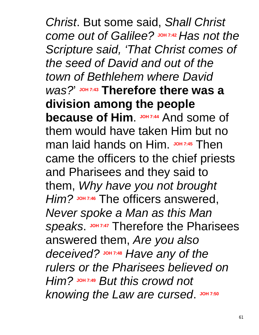*Christ*. But some said, *Shall Christ come out of Galilee?* **JOH 7:42** *Has not the Scripture said, 'That Christ comes of the seed of David and out of the town of Bethlehem where David was?*' **JOH 7:43 Therefore there was a division among the people because of Him** JOH 7:44 And some of them would have taken Him but no man laid hands on Him. JOH 7:45 Then came the officers to the chief priests and Pharisees and they said to them, *Why have you not brought Him?* **JOH 7:46** The officers answered, *Never spoke a Man as this Man*  **speaks JOH 7:47** Therefore the Pharisees answered them, *Are you also deceived?* **JOH 7:48** *Have any of the rulers or the Pharisees believed on Him?* **JOH 7:49** *But this crowd not knowing the Law are cursed.* JOH 7:50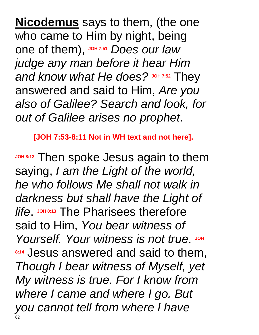**Nicodemus** says to them, (the one who came to Him by night, being one of them), JOH 7:51 Does our law *judge any man before it hear Him and know what He does?* **JOH 7:52** They answered and said to Him, *Are you also of Galilee? Search and look, for out of Galilee arises no prophet*.

**[JOH 7:53-8:11 Not in WH text and not here].** 

**JOH 8:12** Then spoke Jesus again to them saying, *I am the Light of the world, he who follows Me shall not walk in darkness but shall have the Light of life.* JOH 8:13 The Pharisees therefore said to Him, *You bear witness of*  Yourself. Your witness is not true. JOH **8:14** Jesus answered and said to them, *Though I bear witness of Myself, yet My witness is true. For I know from where I came and where I go. But you cannot tell from where I have*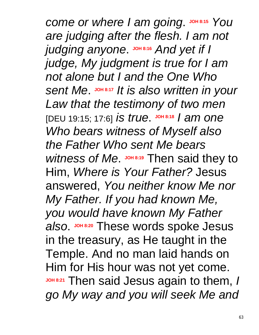$comce$  *or where I* am going. JOH 8:15 You *are judging after the flesh. I am not judging* anyone.  $\frac{1}{2}$  JOH 8:16 And yet if I *judge, My judgment is true for I am not alone but I and the One Who sent Me*. **JOH 8:17** *It is also written in your Law that the testimony of two men* [DEU 19:15; 17:6] *is true.*  $\frac{100 + 8:18}{10}$  *am one Who bears witness of Myself also the Father Who sent Me bears*  Witness of Me. **JOH 8:19** Then said they to Him, *Where is Your Father?* Jesus answered, *You neither know Me nor My Father. If you had known Me, you would have known My Father also*. **JOH 8:20** These words spoke Jesus in the treasury, as He taught in the Temple. And no man laid hands on Him for His hour was not yet come. **JOH 8:21** Then said Jesus again to them, *I go My way and you will seek Me and*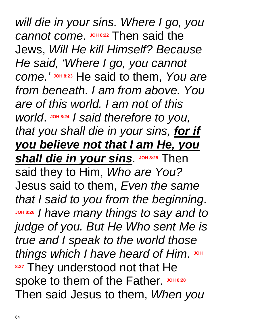*will die in your sins. Where I go, you cannot come*. **JOH 8:22** Then said the Jews, *Will He kill Himself? Because He said, 'Where I go, you cannot come.'* **JOH 8:23** He said to them, *You are from beneath. I am from above. You are of this world. I am not of this world*. **JOH 8:24** *I said therefore to you, that you shall die in your sins, for if you believe not that I am He, you*   $$ said they to Him, *Who are You?* Jesus said to them, *Even the same that I said to you from the beginning*. **JOH 8:26** *I have many things to say and to judge of you. But He Who sent Me is true and I speak to the world those*  things which I have heard of Him. JOH **8:27 They understood not that He** spoke to them of the Father. JOH 8:28 Then said Jesus to them, *When you*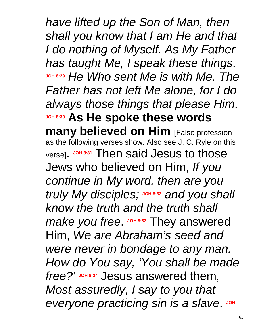*have lifted up the Son of Man, then shall you know that I am He and that I do nothing of Myself. As My Father has taught Me, I speak these things*. **JOH 8:29** *He Who sent Me is with Me. The Father has not left Me alone, for I do always those things that please Him*. **JOH 8:30 As He spoke these words many believed on Him** [False profession as the following verses show. Also see J. C. Ryle on this verse]. **JOH 8:31** Then said Jesus to those Jews who believed on Him, *If you continue in My word, then are you truly My disciples;* **JOH 8:32** *and you shall know the truth and the truth shall make you free.*  $\frac{JOP}{2}$  They answered Him, *We are Abraham's seed and were never in bondage to any man. How do You say, 'You shall be made*  free?' JOH 8:34 Jesus answered them, *Most assuredly, I say to you that*   $e$ veryone practicing sin is a slave. JOH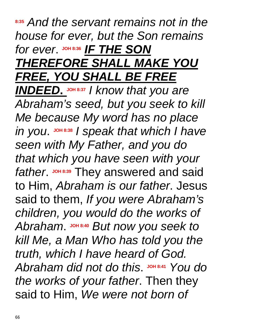#### **8:35** *And the servant remains not in the house for ever, but the Son remains*   $for$  *ever*. JOH 8:36 **IF THE SON** *THEREFORE SHALL MAKE YOU FREE, YOU SHALL BE FREE INDEED.*  $\frac{30H8.37}{4}$  *I know that you are*

*Abraham's seed, but you seek to kill Me because My word has no place*   $\mathcal{L}$  *in* you.  $\mathsf{J}$  shass I speak that which I have *seen with My Father, and you do that which you have seen with your*  father. JOH 8:39 They answered and said to Him, *Abraham is our father*. Jesus said to them, *If you were Abraham's children, you would do the works of*  Abraham. JOH 8:40 But now you seek to *kill Me, a Man Who has told you the truth, which I have heard of God.*   $A$ *braham did not do this.*  $J$ OH 8:41 *You do the works of your father*. Then they said to Him, *We were not born of*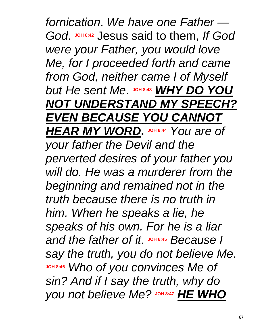*fornication*. *We have one Father —*  God. JOH 8:42 Jesus said to them, If God *were your Father, you would love Me, for I proceeded forth and came from God, neither came I of Myself*   $b$ ut He sent Me.  $J$ OH 8:43 WHY DO YOU *NOT UNDERSTAND MY SPEECH? EVEN BECAUSE YOU CANNOT HEAR MY WORD***. JOH 8:44** *You are of your father the Devil and the perverted desires of your father you will do. He was a murderer from the beginning and remained not in the truth because there is no truth in him. When he speaks a lie, he speaks of his own. For he is a liar*   $A$  *and the father of it.*  $\frac{1}{2}$   $\frac{1}{2}$  *Because I say the truth, you do not believe Me*. **JOH 8:46** *Who of you convinces Me of sin? And if I say the truth, why do you not believe Me?* **JOH 8:47** *HE WHO*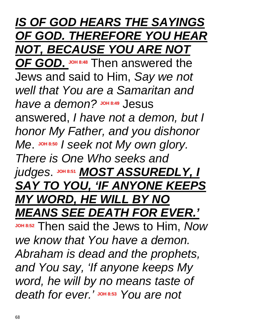*IS OF GOD HEARS THE SAYINGS OF GOD. THEREFORE YOU HEAR NOT, BECAUSE YOU ARE NOT OF GOD***. JOH 8:48** Then answered the Jews and said to Him, *Say we not well that You are a Samaritan and*   $have a$  *demon?*  $30018449$  *Jesus* answered, *I have not a demon, but I honor My Father, and you dishonor Me*. **JOH 8:50** *I seek not My own glory. There is One Who seeks and*   $j$ udges.  $J$ OH 8:51 **MOST ASSUREDLY, I** *SAY TO YOU, 'IF ANYONE KEEPS MY WORD, HE WILL BY NO MEANS SEE DEATH FOR EVER.'* **JOH 8:52** Then said the Jews to Him, *Now we know that You have a demon. Abraham is dead and the prophets, and You say, 'If anyone keeps My word, he will by no means taste of death for ever.'* **JOH 8:53** *You are not*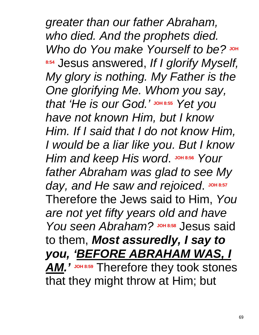*greater than our father Abraham, who died. And the prophets died. Who do You make Yourself to be?* JOH **8:54** Jesus answered, *If I glorify Myself, My glory is nothing. My Father is the One glorifying Me. Whom you say,*   $x$  that 'He is our God.' JOH 8:55 Yet you *have not known Him, but I know Him. If I said that I do not know Him, I would be a liar like you. But I know Him* **and keep His word. JOH 8:56 Your** *father Abraham was glad to see My*  day, and He saw and rejoiced. JOH 8:57 Therefore the Jews said to Him, *You are not yet fifty years old and have You seen Abraham?* Jesus said to them, *Most assuredly, I say to you, 'BEFORE ABRAHAM WAS, I*  AM.' JOH 8:59 Therefore they took stones that they might throw at Him; but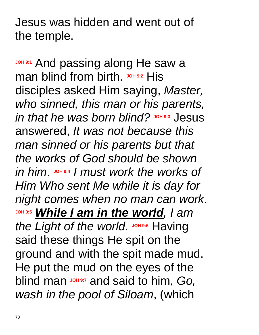Jesus was hidden and went out of the temple.

**JOH 9:1** And passing along He saw a man blind from birth. JOH 9:2 His disciples asked Him saying, *Master, who sinned, this man or his parents,*   $\mathbf{u}$  *in that he was born blind?* Johass Jesus answered, *It was not because this man sinned or his parents but that the works of God should be shown*   $\sum_{n=1}^{\infty}$  *in him.*  $\sum_{n=1}^{\infty}$  *J must work the works of Him Who sent Me while it is day for night comes when no man can work*. **JOH 9:5** *While I am in the world, I am*  the Light of the world. JOH 9:6 Having said these things He spit on the ground and with the spit made mud. He put the mud on the eyes of the blind man **JOH 9:7** and said to him, *Go, wash in the pool of Siloam*, (which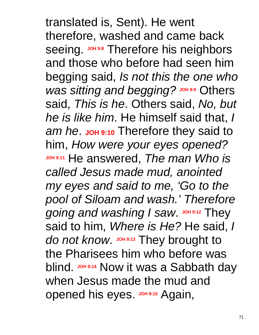translated is, Sent). He went therefore, washed and came back Seeing. JOH 9:8 Therefore his neighbors and those who before had seen him begging said, *Is not this the one who was sitting and begging?* JOH 9:9 Others said, *This is he*. Others said, *No, but he is like him*. He himself said that, *I*  **am** he. **JOH** 9:10 Therefore they said to him, *How were your eyes opened?* **JOH 9:11** He answered, *The man Who is called Jesus made mud, anointed my eyes and said to me, 'Go to the pool of Siloam and wash.' Therefore going and washing I saw.* JOH 9:12 They said to him, *Where is He?* He said, *I*  do not know. JOH 9:13 They brought to the Pharisees him who before was blind. **JOH 9:14 Now it was a Sabbath day** when Jesus made the mud and **opened his eyes. JOH 9:15 Again,**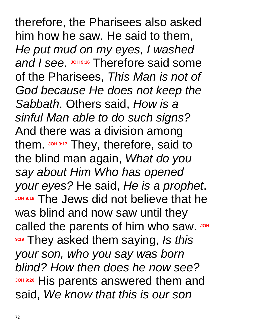therefore, the Pharisees also asked him how he saw. He said to them, *He put mud on my eyes, I washed*  and *I* see. JOH 9:16 Therefore said some of the Pharisees, *This Man is not of God because He does not keep the Sabbath*. Others said, *How is a sinful Man able to do such signs?* And there was a division among them. **JOH 9:17** They, therefore, said to the blind man again, *What do you say about Him Who has opened your eyes?* He said, *He is a prophet*. **JOH 9:18** The Jews did not believe that he was blind and now saw until they called the parents of him who saw. JOH **9:19** They asked them saying, *Is this your son, who you say was born blind? How then does he now see?* **JOH 9:20** His parents answered them and said, *We know that this is our son*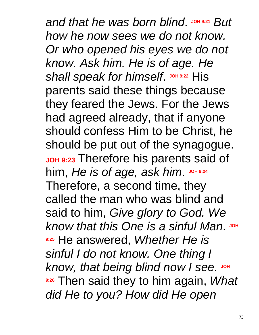$A$  *and that he was born blind.*  $J$  *but But how he now sees we do not know. Or who opened his eyes we do not know. Ask him. He is of age. He*  **shall speak for himself. JOH 9:22 His** parents said these things because they feared the Jews. For the Jews had agreed already, that if anyone should confess Him to be Christ, he should be put out of the synagogue. **JOH 9:23** Therefore his parents said of him, *He is of age, ask him*. **JOH 9:24** Therefore, a second time, they called the man who was blind and said to him, *Give glory to God. We*   $k$ now that this One is a sinful Man. JOH **9:25** He answered, *Whether He is sinful I do not know. One thing I know, that being blind now I see.* JOH **9:26** Then said they to him again, *What did He to you? How did He open*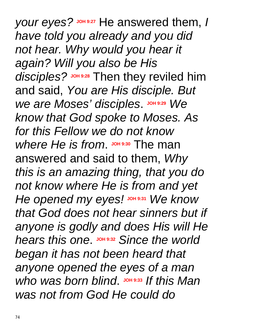*your eyes?* **JOH 9:27** He answered them, *I have told you already and you did not hear. Why would you hear it again? Will you also be His*  disciples? JOH 9:28 Then they reviled him and said, *You are His disciple. But*   $We$  *are Moses' disciples*. *JOH* 9:29 *We know that God spoke to Moses. As for this Fellow we do not know*  Where He is from JOH 9:30 The man answered and said to them, *Why this is an amazing thing, that you do not know where He is from and yet He opened my* eyes! JOH 9:31 We know *that God does not hear sinners but if anyone is godly and does His will He*   $h$  *hears this* one. **JOH** 9:32 Since the world *began it has not been heard that anyone opened the eyes of a man who* was born blind. JOH 9:33 If this Man *was not from God He could do*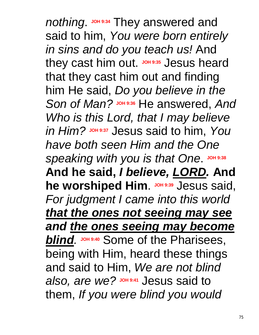**nothing.** JOH 9:34 They answered and said to him, *You were born entirely in sins and do you teach us!* And they cast him out. **JOH 9:35** Jesus heard that they cast him out and finding him He said, *Do you believe in the*  Son of Man? JOH 9:36 He answered, And *Who is this Lord, that I may believe*   $\mathcal{I}$ *in Him?*  $\mathcal{I}$ <sup>9:37</sup> Jesus said to him, *You have both seen Him and the One*   $S$ *peaking with you is that One.* JOH 9:38 **And he said,** *I believe, LORD.* **And he worshiped Him.** JOH 9:39 Jesus said, *For judgment I came into this world that the ones not seeing may see and the ones seeing may become*  **blind**. JOH 9:40 Some of the Pharisees, being with Him, heard these things and said to Him, *We are not blind*  also, are we? **JOH** 9:41 Jesus said to them, *If you were blind you would*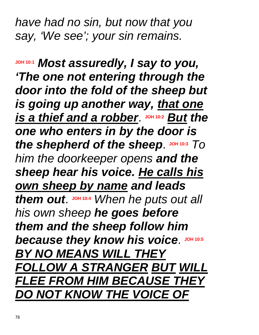*have had no sin, but now that you say, 'We see'; your sin remains.*

**JOH 10:1** *Most assuredly, I say to you, 'The one not entering through the door into the fold of the sheep but is going up another way, that one*   $i$  *s* a *thief and a robber.*  $\frac{10410:2}{2}$  *But the one who enters in by the door is the shepherd of the sheep.* JOH 10:3 *TO him the doorkeeper opens and the sheep hear his voice. He calls his own sheep by name and leads them out*. **JOH 10:4** *When he puts out all his own sheep he goes before them and the sheep follow him because they know his voice.* **JOH 10:5</del>** *BY NO MEANS WILL THEY FOLLOW A STRANGER BUT WILL FLEE FROM HIM BECAUSE THEY DO NOT KNOW THE VOICE OF*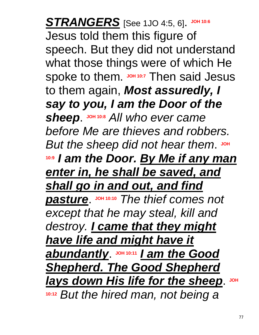$STRANGERS$  [See 1JO 4:5, 6]. JOH 10:6 Jesus told them this figure of speech. But they did not understand what those things were of which He spoke to them. JOH 10:7 Then said Jesus to them again, *Most assuredly, I say to you, I am the Door of the sheep*. **JOH 10:8** *All who ever came before Me are thieves and robbers.*  But the sheep did not hear them. JOH **10:9** *I am the Door. By Me if any man enter in, he shall be saved, and shall go in and out, and find pasture*. **JOH 10:10** *The thief comes not except that he may steal, kill and destroy. I came that they might have life and might have it*  **abundantly.** JOH 10:11 **1 am the Good** *Shepherd. The Good Shepherd lays down His life for the sheep.* **JOH 10:12** *But the hired man, not being a*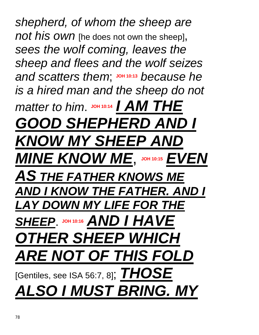*shepherd, of whom the sheep are not his own* [he does not own the sheep], *sees the wolf coming, leaves the sheep and flees and the wolf seizes and scatters them*; **JOH 10:13** *because he is a hired man and the sheep do not*   $\mathcal{I}$  *matter to him.*  $\mathsf{J}$   $\mathsf{O}$   $\mathsf{H}$  10:14 *I AM THE GOOD SHEPHERD AND I KNOW MY SHEEP AND*   $MINE$  *KNOW ME*, JOH 10:15 *EVEN AS THE FATHER KNOWS ME AND I KNOW THE FATHER. AND I LAY DOWN MY LIFE FOR THE*  **SHEEP.** JOH 10:16 **AND I HAVE** *OTHER SHEEP WHICH ARE NOT OF THIS FOLD* [Gentiles, see ISA 56:7, 8]; *THOSE ALSO I MUST BRING. MY*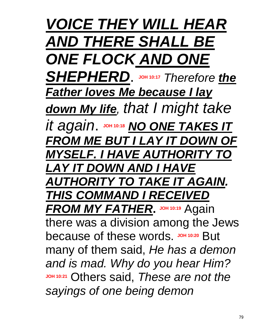*VOICE THEY WILL HEAR AND THERE SHALL BE ONE FLOCK AND ONE SHEPHERD*. **JOH 10:17** *Therefore the Father loves Me because I lay down My life, that I might take*   $i$ *t* again. JOH 10:18 **NO ONE TAKES IT** *FROM ME BUT I LAY IT DOWN OF MYSELF. I HAVE AUTHORITY TO LAY IT DOWN AND I HAVE AUTHORITY TO TAKE IT AGAIN. THIS COMMAND I RECEIVED*  **FROM MY FATHER.** JOH 10:19 Again there was a division among the Jews because of these words. JOH 10:20 But many of them said, *He has a demon and is mad. Why do you hear Him?*  **JOH 10:21** Others said, *These are not the sayings of one being demon*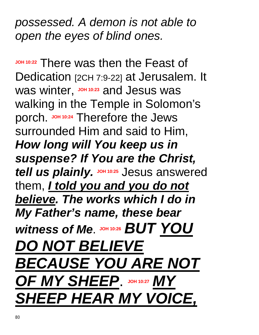*possessed. A demon is not able to open the eyes of blind ones.* 

**JOH 10:22** There was then the Feast of Dedication [2CH 7:9-22] at Jerusalem. It was winter, **JOH 10:23** and Jesus was walking in the Temple in Solomon's porch. **JOH 10:24** Therefore the Jews surrounded Him and said to Him, *How long will You keep us in suspense? If You are the Christ,*  **tell us plainly. JOH 10:25 Jesus answered** them, *I told you and you do not believe. The works which I do in My Father's name, these bear*  Witness of Me. JOH 10:26 **BUT YOU** *DO NOT BELIEVE BECAUSE YOU ARE NOT OF MY SHEEP*. **JOH 10:27** *MY SHEEP HEAR MY VOICE,*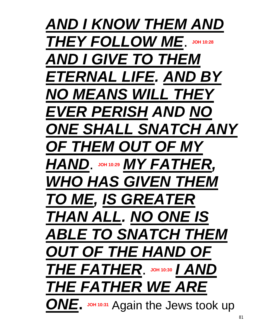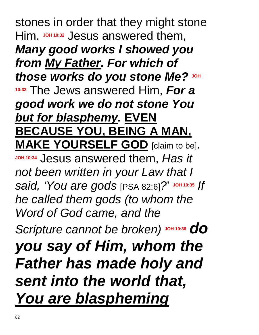stones in order that they might stone Him. **JOH 10:32** Jesus answered them, *Many good works I showed you from My Father. For which of those works do you stone Me?* **JOH 10:33** The Jews answered Him, *For a good work we do not stone You*  **but for blasphemy. EVEN BECAUSE YOU, BEING A MAN, MAKE YOURSELF GOD** [claim to be].

**JOH 10:34** Jesus answered them, *Has it not been written in your Law that I said, 'You are gods* [PSA 82:6]*?*' **JOH 10:35** *If he called them gods (to whom the Word of God came, and the* 

 $S$ *Cripture cannot be broken*) JOH 10:36 **do** 

*you say of Him, whom the Father has made holy and sent into the world that, You are blaspheming*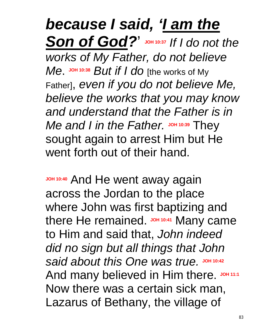## *because I said, 'I am the Son of God?*' **JOH 10:37** *If I do not the works of My Father, do not believe Me*. **JOH 10:38** *But if I do* [the works of My Father], *even if you do not believe Me, believe the works that you may know and understand that the Father is in Me* and *I* in the Father. JOH 10:39 They sought again to arrest Him but He went forth out of their hand.

**JOH 10:40 And He went away again** across the Jordan to the place where John was first baptizing and there He remained. **JOH 10:41** Many came to Him and said that, *John indeed did no sign but all things that John said about this One was true.* **JOH 10:42** And many believed in Him there. JOH 11:1 Now there was a certain sick man, Lazarus of Bethany, the village of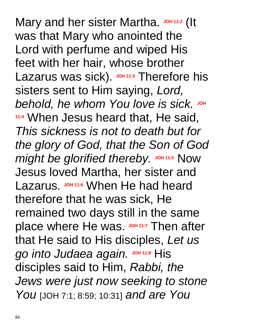Mary and her sister Martha. JOH 11:2 (It was that Mary who anointed the Lord with perfume and wiped His feet with her hair, whose brother Lazarus was sick). **JOH 11:3** Therefore his sisters sent to Him saying, *Lord,*   $b$ ehold, he whom You love is sick. JOH **11:4** When Jesus heard that, He said, *This sickness is not to death but for the glory of God, that the Son of God might be glorified thereby.* JOH 11:5 Now Jesus loved Martha, her sister and Lazarus. **JOH 11:6** When He had heard therefore that he was sick, He remained two days still in the same place where He was. **JOH 11:7** Then after that He said to His disciples, *Let us*   $g$ <sup>o</sup> *into Judaea again*. **JOH** 11:8</sup> His disciples said to Him, *Rabbi, the Jews were just now seeking to stone You* [JOH 7:1; 8:59; 10:31] *and are You*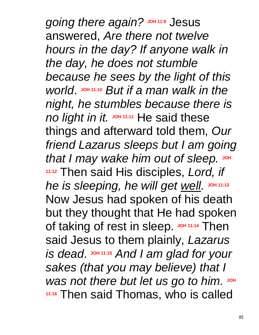$g$ *oing there again?*  $J$   $J$ <sup> $O$  $H$  $11:9$ </sub>  $J$   $O$ *esus*</sup> answered, *Are there not twelve hours in the day? If anyone walk in the day, he does not stumble because he sees by the light of this world*. **JOH 11:10** *But if a man walk in the night, he stumbles because there is no light in it.* **JOH 11:11** He said these things and afterward told them, *Our friend Lazarus sleeps but I am going that I may wake him out of sleep.* **JOH 11:12** Then said His disciples, *Lord, if he* is sleeping, he will get well. JOH 11:13 Now Jesus had spoken of his death but they thought that He had spoken of taking of rest in sleep. JOH 11:14 Then said Jesus to them plainly, *Lazarus*   $\boldsymbol{I}$  *is dead.*  $\boldsymbol{I}$   $\boldsymbol{I}$   $\boldsymbol{I}$  ame *and for your sakes (that you may believe) that I*   $W$ as not there but let us go to him. JOH **11:16** Then said Thomas, who is called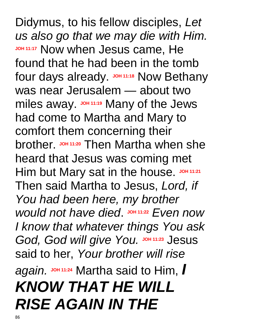Didymus, to his fellow disciples, *Let us also go that we may die with Him.* **JOH 11:17 Now when Jesus came, He** found that he had been in the tomb four days already. **JOH 11:18** Now Bethany was near Jerusalem — about two miles away. **JOH 11:19** Many of the Jews had come to Martha and Mary to comfort them concerning their brother. **JOH 11:20** Then Martha when she heard that Jesus was coming met Him but Mary sat in the house. JOH 11:21 Then said Martha to Jesus, *Lord, if You had been here, my brother would not have died.*  $J$   $\Omega$   $11:22$  *Even now I know that whatever things You ask God, God will give You.* Johnston Jesus said to her, *Your brother will rise again.* **JOH 11:24** Martha said to Him, *I KNOW THAT HE WILL RISE AGAIN IN THE*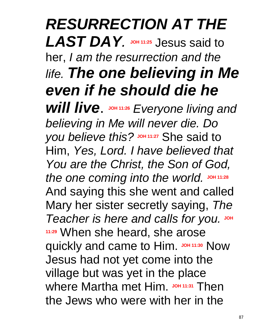## *RESURRECTION AT THE*  LAST DAY. JOH 11:25 Jesus said to her, *I am the resurrection and the life. The one believing in Me even if he should die he*

Will live. JOH 11:26 Everyone living and *believing in Me will never die. Do you believe this?* **JOH 11:27** She said to Him, *Yes, Lord. I have believed that You are the Christ, the Son of God, the one coming into the world.* JOH 11:28 And saying this she went and called Mary her sister secretly saying, *The*   $T$ eacher is here and calls for you. JOH **11:29** When she heard, she arose quickly and came to Him. **JOH 11:30** Now Jesus had not yet come into the village but was yet in the place where Martha met Him. **JOH 11:31** Then the Jews who were with her in the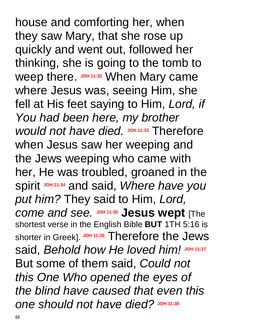house and comforting her, when they saw Mary, that she rose up quickly and went out, followed her thinking, she is going to the tomb to Weep there. **JOH 11:32 When Mary came** where Jesus was, seeing Him, she fell at His feet saying to Him, *Lord, if You had been here, my brother would not have died.* **JOH 11:33** Therefore when Jesus saw her weeping and the Jews weeping who came with her, He was troubled, groaned in the spirit **JOH 11:34** and said, *Where have you put him?* They said to Him, *Lord, come and see.* **JOH 11:35 Jesus wept** [The shortest verse in the English Bible **BUT** 1TH 5:16 is shorter in Greek]. **JOH 11:36** Therefore the Jews said, *Behold how He loved him!* **JOH 11:37** But some of them said, *Could not this One Who opened the eyes of the blind have caused that even this one should not have died?* **JOH 11:38**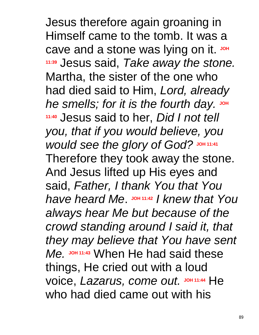Jesus therefore again groaning in Himself came to the tomb. It was a cave and a stone was lying on it. JOH **11:39** Jesus said, *Take away the stone.* Martha, the sister of the one who had died said to Him, *Lord, already*   $he$  *smells; for it is the fourth day.* JOH **11:40** Jesus said to her, *Did I not tell you, that if you would believe, you would see the glory of God?* **JOH 11:41** Therefore they took away the stone. And Jesus lifted up His eyes and said, *Father, I thank You that You have heard Me*. **JOH 11:42** *I knew that You always hear Me but because of the crowd standing around I said it, that they may believe that You have sent Me.* **JOH 11:43** When He had said these things, He cried out with a loud voice, *Lazarus, come out.* **JOH 11:44** He who had died came out with his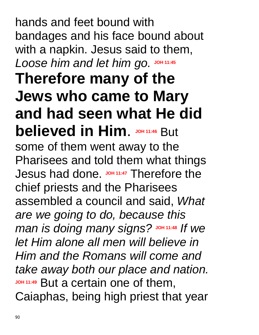hands and feet bound with bandages and his face bound about with a napkin. Jesus said to them, *Loose him and let him go.* **JOH 11:45 Therefore many of the Jews who came to Mary and had seen what He did believed in Him. JOH 11:46 But** some of them went away to the Pharisees and told them what things Jesus had done. JOH 11:47 Therefore the chief priests and the Pharisees assembled a council and said, *What are we going to do, because this man is doing many signs?* **JOH 11:48** *If we let Him alone all men will believe in Him and the Romans will come and take away both our place and nation.* **JOH 11:49** But a certain one of them, Caiaphas, being high priest that year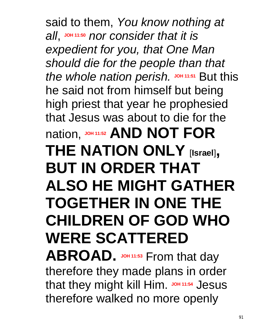said to them, *You know nothing at all*, **JOH 11:50** *nor consider that it is expedient for you, that One Man should die for the people than that the whole nation perish.* **JOH 11:51** But this he said not from himself but being high priest that year he prophesied that Jesus was about to die for the **NOT FOR THE NATION ONLY** [**Israel**]**, BUT IN ORDER THAT ALSO HE MIGHT GATHER TOGETHER IN ONE THE CHILDREN OF GOD WHO WERE SCATTERED ABROAD.** JOH 11:53 From that day

therefore they made plans in order that they might kill Him. JOH 11:54 Jesus therefore walked no more openly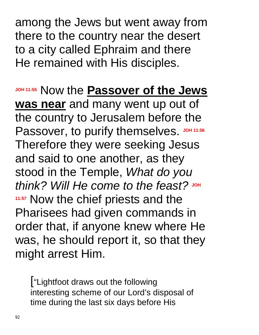among the Jews but went away from there to the country near the desert to a city called Ephraim and there He remained with His disciples.

**JOH 11:55** Now the **Passover of the Jews was near** and many went up out of the country to Jerusalem before the Passover, to purify themselves. JOH 11:56 Therefore they were seeking Jesus and said to one another, as they stood in the Temple, *What do you think? Will He come to the feast?* **JOH 11:57** Now the chief priests and the Pharisees had given commands in order that, if anyone knew where He was, he should report it, so that they might arrest Him.

["Lightfoot draws out the following interesting scheme of our Lord's disposal of time during the last six days before His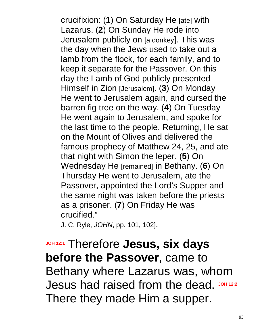crucifixion: (**1**) On Saturday He [ate] with Lazarus. (**2**) On Sunday He rode into Jerusalem publicly on [a donkey]. This was the day when the Jews used to take out a lamb from the flock, for each family, and to keep it separate for the Passover. On this day the Lamb of God publicly presented Himself in Zion [Jerusalem]. (**3**) On Monday He went to Jerusalem again, and cursed the barren fig tree on the way. (**4**) On Tuesday He went again to Jerusalem, and spoke for the last time to the people. Returning, He sat on the Mount of Olives and delivered the famous prophecy of Matthew 24, 25, and ate that night with Simon the leper. (**5**) On Wednesday He [remained] in Bethany. (**6**) On Thursday He went to Jerusalem, ate the Passover, appointed the Lord's Supper and the same night was taken before the priests as a prisoner. (**7**) On Friday He was crucified."

J. C. Ryle, *JOHN*, pp. 101, 102].

**JOH 12:1** Therefore **Jesus, six days before the Passover**, came to Bethany where Lazarus was, whom Jesus had raised from the dead. JOH 12:2 There they made Him a supper.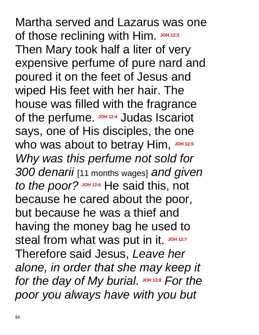Martha served and Lazarus was one of those reclining with Him. JOH 12:3 Then Mary took half a liter of very expensive perfume of pure nard and poured it on the feet of Jesus and wiped His feet with her hair. The house was filled with the fragrance of the perfume. **JOH 12:4** Judas Iscariot says, one of His disciples, the one who was about to betray Him, JOH 12:5 *Why was this perfume not sold for 300 denarii* [11 months wages] *and given to the poor?* **JOH 12:6** He said this, not because he cared about the poor, but because he was a thief and having the money bag he used to steal from what was put in it. JOH 12:7 Therefore said Jesus, *Leave her alone, in order that she may keep it for the day of My burial.*  $J$  on 12:8 *For the poor you always have with you but*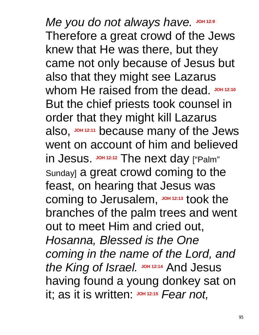$Me$  you do not always have. JOH 12:9 Therefore a great crowd of the Jews knew that He was there, but they came not only because of Jesus but also that they might see Lazarus whom He raised from the dead. JOH 12:10 But the chief priests took counsel in order that they might kill Lazarus also, **JOH 12:11** because many of the Jews went on account of him and believed in Jesus. JOH 12:12 The next day ["Palm" Sunday] a great crowd coming to the feast, on hearing that Jesus was coming to Jerusalem, **JOH 12:13** took the branches of the palm trees and went out to meet Him and cried out, *Hosanna, Blessed is the One coming in the name of the Lord, and the King of Israel.* **JOH 12:14** And Jesus having found a young donkey sat on it; as it is written: **JOH 12:15** *Fear not,*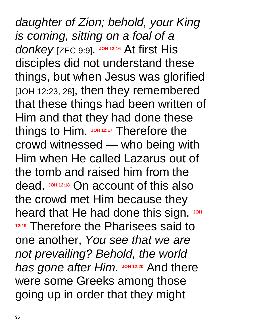*daughter of Zion; behold, your King is coming, sitting on a foal of a*  donkey [ZEC 9:9]. JOH 12:16 At first His disciples did not understand these things, but when Jesus was glorified [JOH 12:23, 28], then they remembered that these things had been written of Him and that they had done these things to Him. JOH 12:17 Therefore the crowd witnessed — who being with Him when He called Lazarus out of the tomb and raised him from the dead. JOH 12:18 On account of this also the crowd met Him because they heard that He had done this sign. JOH **12:19** Therefore the Pharisees said to one another, *You see that we are not prevailing? Behold, the world has gone after Him.* **JOH 12:20** And there were some Greeks among those going up in order that they might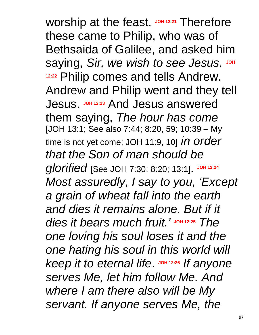Worship at the feast. JOH 12:21 Therefore these came to Philip, who was of Bethsaida of Galilee, and asked him saying, *Sir, we wish to see Jesus.* JOH **12:22** Philip comes and tells Andrew. Andrew and Philip went and they tell Jesus. **JOH 12:23** And Jesus answered them saying, *The hour has come* [JOH 13:1; See also 7:44; 8:20, 59; 10:39 – My time is not yet come; JOH 11:9, 10] *in order that the Son of man should be glorified* [See JOH 7:30; 8:20; 13:1]. **JOH 12:24** *Most assuredly, I say to you, 'Except a grain of wheat fall into the earth and dies it remains alone. But if it dies it bears much fruit.'* **JOH 12:25** *The one loving his soul loses it and the one hating his soul in this world will keep* it to eternal life **JOH** 12:26 If anyone *serves Me, let him follow Me. And where I am there also will be My servant. If anyone serves Me, the*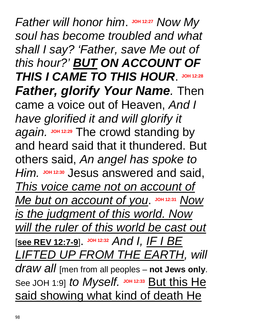*Father will honor him.* JOH 12:27 *Now My soul has become troubled and what shall I say? 'Father, save Me out of this hour?' BUT ON ACCOUNT OF THIS I CAME TO THIS HOUR*. **JOH 12:28** *Father, glorify Your Name.* Then came a voice out of Heaven, *And I have glorified it and will glorify it again.* **JOH 12:29** The crowd standing by and heard said that it thundered. But others said, *An angel has spoke to Him.* **JOH 12:30** Jesus answered and said, *This voice came not on account of Me but on account of you.* JOH 12:31 *Now is the judgment of this world. Now will the ruler of this world be cast out* [**see REV 12:7-9**]. **JOH 12:32** *And I, IF I BE LIFTED UP FROM THE EARTH, will draw all* [men from all peoples – **not Jews only**. See JOH 1:9] *to Myself.* JOH 12:33 But this He said showing what kind of death He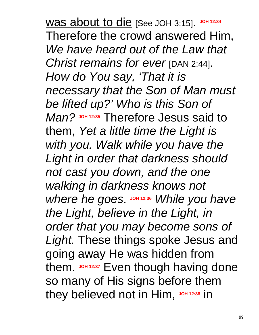was about to die [See JOH 3:15]. **JOH 12:34** Therefore the crowd answered Him, *We have heard out of the Law that Christ remains for ever* [DAN 2:44]. *How do You say, 'That it is necessary that the Son of Man must be lifted up?' Who is this Son of Man?* **JOH 12:35** Therefore Jesus said to them, *Yet a little time the Light is with you. Walk while you have the Light in order that darkness should not cast you down, and the one walking in darkness knows not*  Where he goes.  $J$ OH 12:36 *While* you have *the Light, believe in the Light, in order that you may become sons of Light.* These things spoke Jesus and going away He was hidden from them. **JOH 12:37** Even though having done so many of His signs before them they believed not in Him, JOH 12:38 in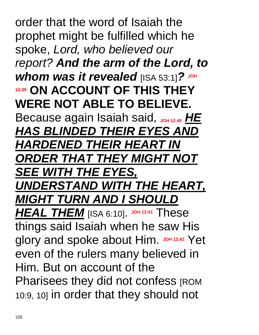order that the word of Isaiah the prophet might be fulfilled which he spoke, *Lord, who believed our report? And the arm of the Lord, to whom was it revealed* [ISA 53:1]*?* **JOH 12:39 ON ACCOUNT OF THIS THEY WERE NOT ABLE TO BELIEVE.** Because again Isaiah said, JOH 12:40 HE *HAS BLINDED THEIR EYES AND HARDENED THEIR HEART IN ORDER THAT THEY MIGHT NOT SEE WITH THE EYES, UNDERSTAND WITH THE HEART, MIGHT TURN AND I SHOULD HEAL THEM* [ISA 6:10]. **JOH 12:41** These things said Isaiah when he saw His glory and spoke about Him. JOH 12:42 Yet even of the rulers many believed in Him. But on account of the Pharisees they did not confess [ROM 10:9, 10] in order that they should not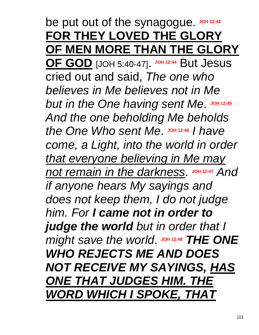## be put out of the synagogue. JOH 12:43 **FOR THEY LOVED THE GLORY OF MEN MORE THAN THE GLORY**

**OF GOD** [JOH 5:40-47]. **JOH 12:44** But Jesus cried out and said, *The one who believes in Me believes not in Me but in the One having sent Me. JOH 12:45 And the one beholding Me beholds*  the One Who sent Me.  $J$  DH 12:46 *I have come, a Light, into the world in order that everyone believing in Me may not remain in the darkness.* JOH 12:47 And *if anyone hears My sayings and does not keep them, I do not judge him. For I came not in order to judge the world but in order that I might* save the world. JOH 12:48 THE ONE *WHO REJECTS ME AND DOES NOT RECEIVE MY SAYINGS, HAS ONE THAT JUDGES HIM. THE WORD WHICH I SPOKE, THAT*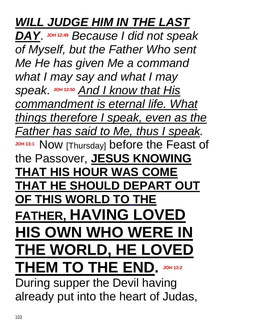## *WILL JUDGE HIM IN THE LAST*

*DAY*. **JOH 12:49** *Because I did not speak of Myself, but the Father Who sent Me He has given Me a command what I may say and what I may speak*. **JOH 12:50** *And I know that His commandment is eternal life. What things therefore I speak, even as the Father has said to Me, thus I speak.* **JOH 13:1** Now [Thursday] before the Feast of the Passover, **JESUS KNOWING THAT HIS HOUR WAS COME THAT HE SHOULD DEPART OUT OF THIS WORLD TO THE FATHER, HAVING LOVED HIS OWN WHO WERE IN THE WORLD, HE LOVED THEM TO THE END. JOH 13:2** During supper the Devil having already put into the heart of Judas,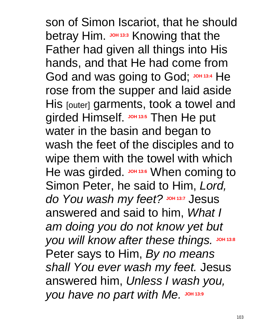son of Simon Iscariot, that he should betray Him. **JOH 13:3** Knowing that the Father had given all things into His hands, and that He had come from God and was going to God; JOH 13:4 He rose from the supper and laid aside His [outer] garments, took a towel and girded Himself. **JOH 13:5** Then He put water in the basin and began to wash the feet of the disciples and to wipe them with the towel with which He was girded. **JOH 13:6** When coming to Simon Peter, he said to Him, *Lord,*   $d$ *o You wash my feet?* **Joh** 13:7</sub> Jesus answered and said to him, *What I am doing you do not know yet but you will know after these things.* JOH 13:8 Peter says to Him, *By no means shall You ever wash my feet.* Jesus answered him, *Unless I wash you, you have no part with Me.* **JOH 13:9**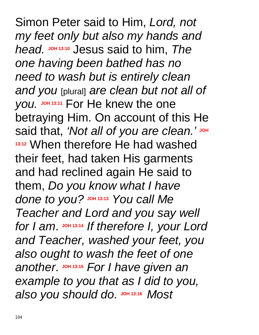Simon Peter said to Him, *Lord, not my feet only but also my hands and head.* **JOH 13:10** Jesus said to him, *The one having been bathed has no need to wash but is entirely clean and you* [plural] *are clean but not all of you.* **JOH 13:11** For He knew the one betraying Him. On account of this He said that, 'Not all of you are clean.' JOH **13:12** When therefore He had washed their feet, had taken His garments and had reclined again He said to them, *Do you know what I have done to you?* **JOH 13:13** *You call Me Teacher and Lord and you say well for I am*. **JOH 13:14** *If therefore I, your Lord and Teacher, washed your feet, you also ought to wash the feet of one another.*  $\frac{104}{13:15}$  *For I have given an example to you that as I did to you,*   $a$  *lso you should do.*  $J$   $O$   $H$   $13:16$  *Most*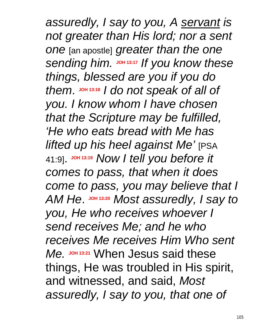*assuredly, I say to you, A servant is not greater than His lord; nor a sent one* [an apostle] *greater than the one sending him.*  $J$ OH 13:17 If you know these *things, blessed are you if you do them*. **JOH 13:18** *I do not speak of all of you. I know whom I have chosen that the Scripture may be fulfilled, 'He who eats bread with Me has lifted up his heel against Me'* [PSA 41:9]. **JOH 13:19** *Now I tell you before it comes to pass, that when it does come to pass, you may believe that I AM He*. **JOH 13:20** *Most assuredly, I say to you, He who receives whoever I send receives Me; and he who receives Me receives Him Who sent Me.* **JOH 13:21** When Jesus said these things, He was troubled in His spirit, and witnessed, and said, *Most assuredly, I say to you, that one of*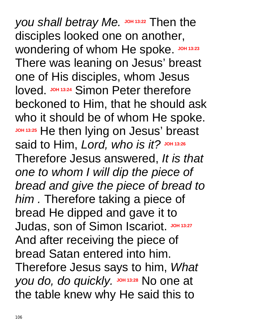*you shall betray Me.* **JOH 13:22** Then the disciples looked one on another, Wondering of whom He spoke. JOH 13:23 There was leaning on Jesus' breast one of His disciples, whom Jesus **loved. JOH 13:24 Simon Peter therefore** beckoned to Him, that he should ask who it should be of whom He spoke. **JOH 13:25** He then lying on Jesus' breast said to Him, Lord, who is it? JOH 13:26 Therefore Jesus answered, *It is that one to whom I will dip the piece of bread and give the piece of bread to him .* Therefore taking a piece of bread He dipped and gave it to Judas, son of Simon Iscariot. JOH 13:27 And after receiving the piece of bread Satan entered into him. Therefore Jesus says to him, *What you do, do quickly.* JOH 13:28 No one at the table knew why He said this to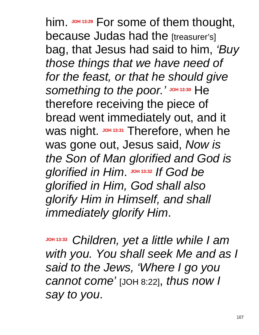him. JOH 13:29 For some of them thought, because Judas had the [treasurer's] bag, that Jesus had said to him, *'Buy those things that we have need of for the feast, or that he should give*   $S$ *something to the poor.'* JOH 13:30 He therefore receiving the piece of bread went immediately out, and it Was night. JOH 13:31 Therefore, when he was gone out, Jesus said, *Now is the Son of Man glorified and God is*   $g$ lorified in Him. JOH 13:32 If God be *glorified in Him, God shall also glorify Him in Himself, and shall immediately glorify Him*.

**JOH 13:33** *Children, yet a little while I am with you. You shall seek Me and as I said to the Jews, 'Where I go you cannot come'* [JOH 8:22], *thus now I say to you*.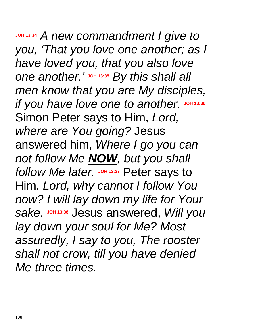**JOH 13:34** *A new commandment I give to you, 'That you love one another; as I have loved you, that you also love one another.'* **JOH 13:35** *By this shall all men know that you are My disciples, if* you have love one to another. JOH 13:36 Simon Peter says to Him, *Lord, where are You going?* Jesus answered him, *Where I go you can not follow Me NOW, but you shall follow Me later.* **JOH 13:37** Peter says to Him, *Lord, why cannot I follow You now? I will lay down my life for Your sake.* **JOH 13:38** Jesus answered, *Will you lay down your soul for Me? Most assuredly, I say to you, The rooster shall not crow, till you have denied Me three times.*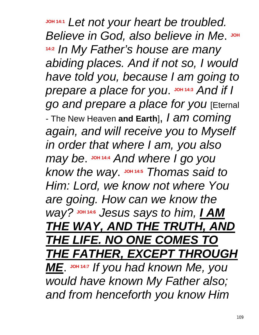**JOH 14:1** *Let not your heart be troubled. Believe in God, also believe in Me.* **JOH 14:2** *In My Father's house are many abiding places. And if not so, I would have told you, because I am going to prepare a place for you*. JOH 14:3 And if I *go and prepare a place for you* [Eternal - The New Heaven **and Earth**], *I am coming again, and will receive you to Myself in order that where I am, you also may be*. **JOH 14:4** *And where I go you know the way.*  $J$   $\Omega$   $14:5$  *Thomas said to Him: Lord, we know not where You are going. How can we know the way?* **JOH 14:6** *Jesus says to him, I AM THE WAY, AND THE TRUTH, AND THE LIFE. NO ONE COMES TO THE FATHER, EXCEPT THROUGH ME*. **JOH 14:7** *If you had known Me, you would have known My Father also; and from henceforth you know Him*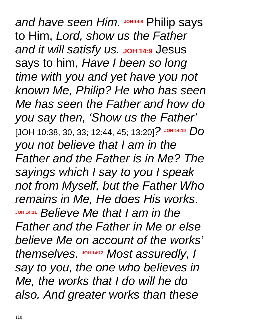*and have seen Him.* **JOH 14:8** Philip says to Him, *Lord, show us the Father*  **and it will satisfy us. JOH 14:9 Jesus** says to him, *Have I been so long time with you and yet have you not known Me, Philip? He who has seen Me has seen the Father and how do you say then, 'Show us the Father'* [JOH 10:38, 30, 33; 12:44, 45; 13:20]*?* **JOH 14:10** *Do you not believe that I am in the Father and the Father is in Me? The sayings which I say to you I speak not from Myself, but the Father Who remains in Me, He does His works*. **JOH 14:11** *Believe Me that I am in the Father and the Father in Me or else believe Me on account of the works'*  themselves. **JOH 14:12** Most assuredly, I *say to you, the one who believes in Me, the works that I do will he do also. And greater works than these*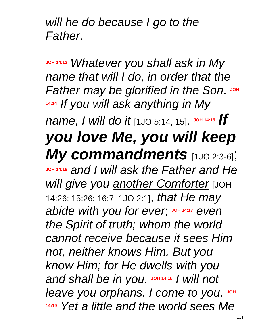*will he do because I go to the Father*.

**JOH 14:13** *Whatever you shall ask in My name that will I do, in order that the Father* **may be glorified in the Son. JOH 14:14** *If you will ask anything in My name, I will do it* [1JO 5:14, 15]. **JOH 14:15** *If you love Me, you will keep My commandments* [1JO 2:3-6]; **JOH 14:16** *and I will ask the Father and He will give you another Comforter* [JOH 14:26; 15:26; 16:7; 1JO 2:1], *that He may abide* with you for ever,  $J$  DH 14:17 even *the Spirit of truth; whom the world cannot receive because it sees Him not, neither knows Him. But you know Him; for He dwells with you*  and shall be in you. JOH 14:18 / will not leave you orphans. I come to you. JOH **14:19** *Yet a little and the world sees Me*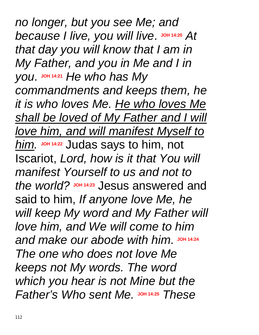*no longer, but you see Me; and*  because *I live, you will live.* JOH 14:20 At *that day you will know that I am in My Father, and you in Me and I in you*. **JOH 14:21** *He who has My commandments and keeps them, he it is who loves Me. He who loves Me shall be loved of My Father and I will love him, and will manifest Myself to him.* **JOH 14:22** Judas says to him, not Iscariot, *Lord, how is it that You will manifest Yourself to us and not to*  the world? JOH 14:23 Jesus answered and said to him, *If anyone love Me, he will keep My word and My Father will love him, and We will come to him and make our abode with him*. **JOH 14:24** *The one who does not love Me keeps not My words. The word which you hear is not Mine but the*   $Father's Who sent Me.$  **JOH** 14:25 *These*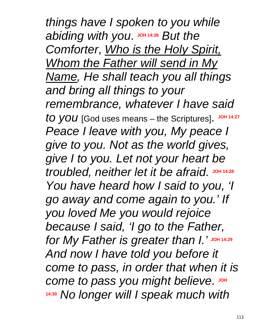*things have I spoken to you while*  abiding with you. JOH 14:26 But the *Comforter*, *Who is the Holy Spirit, Whom the Father will send in My Name, He shall teach you all things and bring all things to your remembrance, whatever I have said*  to you [God uses means – the Scriptures]. JOH 14:27 *Peace I leave with you, My peace I give to you. Not as the world gives, give I to you. Let not your heart be troubled, neither let it be afraid*. **JOH 14:28** *You have heard how I said to you, 'I go away and come again to you.' If you loved Me you would rejoice because I said, 'I go to the Father, for My Father is greater than I.'* **JOH 14:29** *And now I have told you before it come to pass, in order that when it is*   $comet$  *to pass you might believe.* JOH **14:30** *No longer will I speak much with*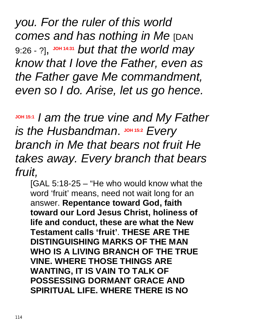*you. For the ruler of this world comes and has nothing in Me* [DAN 9:26 - ?], **JOH 14:31** *but that the world may know that I love the Father, even as the Father gave Me commandment, even so I do. Arise, let us go hence.*

**JOH 15:1** *I am the true vine and My Father is the Husbandman.* JOH 15:2 *Every branch in Me that bears not fruit He takes away. Every branch that bears fruit,*

[GAL 5:18-25 – "He who would know what the word 'fruit' means, need not wait long for an answer. **Repentance toward God, faith toward our Lord Jesus Christ, holiness of life and conduct, these are what the New Testament calls 'fruit'**. **THESE ARE THE DISTINGUISHING MARKS OF THE MAN WHO IS A LIVING BRANCH OF THE TRUE VINE. WHERE THOSE THINGS ARE WANTING, IT IS VAIN TO TALK OF POSSESSING DORMANT GRACE AND SPIRITUAL LIFE. WHERE THERE IS NO**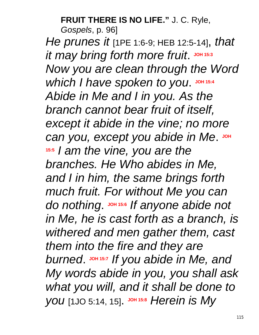#### **FRUIT THERE IS NO LIFE."** J. C. Ryle,

*Gospels*, p. 96]

*He prunes it* [1PE 1:6-9; HEB 12:5-14], *that*   $i$  t may bring forth more fruit. JOH 15:3 *Now you are clean through the Word*  **which I have spoken to you.** JOH 15:4 *Abide in Me and I in you. As the branch cannot bear fruit of itself, except it abide in the vine; no more*   $c$ an you, except you abide in Me. JOH **15:5** *I am the vine, you are the branches. He Who abides in Me, and I in him, the same brings forth much fruit. For without Me you can*   $d$ *o nothing*. **JOH** 15:6</sub> *If* anyone abide not *in Me, he is cast forth as a branch, is withered and men gather them, cast them into the fire and they are burned*. **JOH 15:7** *If you abide in Me, and My words abide in you, you shall ask what you will, and it shall be done to you* [1JO 5:14, 15]. JOH 15:8 *Herein is My*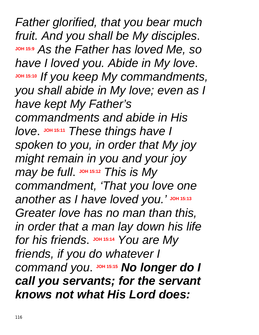*Father glorified, that you bear much fruit. And you shall be My disciples*. **JOH 15:9** *As the Father has loved Me, so have I loved you. Abide in My love*. **JOH 15:10** *If you keep My commandments, you shall abide in My love; even as I have kept My Father's commandments and abide in His love.*  $\frac{10}{15}$  **15:11** *These things have I spoken to you, in order that My joy might remain in you and your joy may be full.* JOH 15:12 This is My *commandment, 'That you love one another as I have loved you.'* **JOH 15:13** *Greater love has no man than this, in order that a man lay down his life*   $for$  *his friends*. JOH 15:14 You are My *friends, if you do whatever I*   $command$  *you.*  $J$   $J$   $O$  *M* **15:15** *No longer do I call you servants; for the servant knows not what His Lord does:*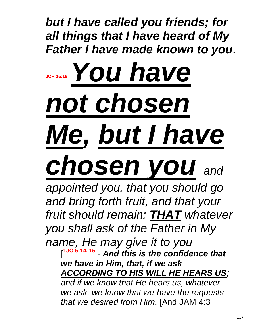*but I have called you friends; for all things that I have heard of My Father I have made known to you*.

# **JOH 15:16***You have not chosen Me, but I have chosen you and*

*appointed you, that you should go and bring forth fruit, and that your fruit should remain: THAT whatever you shall ask of the Father in My name, He may give it to you* [ **1JO 5:14, 15** - *And this is the confidence that we have in Him, that, if we ask ACCORDING TO HIS WILL HE HEARS US;* 

*and if we know that He hears us, whatever we ask, we know that we have the requests that we desired from Him*. [And JAM 4:3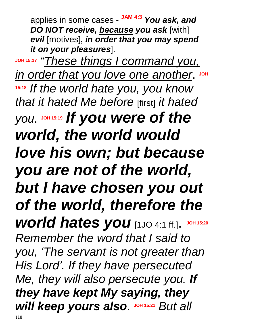applies in some cases - **JAM 4:3** *You ask, and DO NOT receive, because you ask* [with] *evil* [motives]**,** *in order that you may spend it on your pleasures*].

**JOH 15:17** *"These things I command you,*  $\frac{1}{2}$  *in order that* you love one another. **15:18** *If the world hate you, you know that it hated Me before* [first] *it hated you*. **JOH 15:19** *If you were of the world, the world would love his own; but because you are not of the world, but I have chosen you out of the world, therefore the world hates you* [1JO 4:1 ff.]. **JOH 15:20** *Remember the word that I said to you, 'The servant is not greater than His Lord'. If they have persecuted Me, they will also persecute you. If they have kept My saying, they will keep yours also.* JOH 15:21 *But all*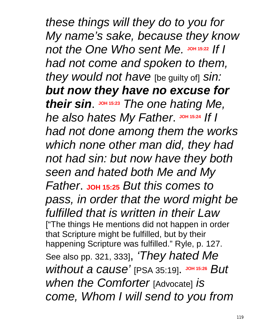*these things will they do to you for My name's sake, because they know not the One Who sent Me.* **JOH 15:22** *If I had not come and spoken to them, they would not have* [be guilty of] *sin: but now they have no excuse for their sin*. **JOH 15:23** *The one hating Me, he* **also hates My Father. JOH 15:24 If I** *had not done among them the works which none other man did, they had not had sin: but now have they both seen and hated both Me and My Father*. **JOH 15:25** *But this comes to pass, in order that the word might be fulfilled that is written in their Law* ["The things He mentions did not happen in order that Scripture might be fulfilled, but by their happening Scripture was fulfilled." Ryle, p. 127. See also pp. 321, 333], *'They hated Me without a cause'* [PSA 35:19]. **JOH 15:26** *But when the Comforter* [Advocate] *is come, Whom I will send to you from*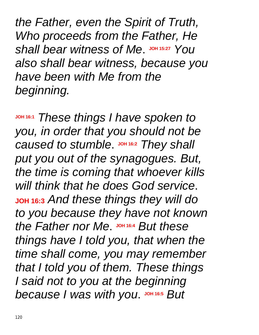*the Father, even the Spirit of Truth, Who proceeds from the Father, He shall bear witness of Me.* JOH 15:27 *You also shall bear witness, because you have been with Me from the beginning.*

**JOH 16:1** *These things I have spoken to you, in order that you should not be*   $caused$  *to stumble.*  $J$   $OH$  16:2 *They shall put you out of the synagogues. But, the time is coming that whoever kills will think that he does God service*. **JOH 16:3** *And these things they will do to you because they have not known*   $the$  *Father nor Me.*  $\frac{J \text{OH}}{16:4}$  *But these things have I told you, that when the time shall come, you may remember that I told you of them. These things I said not to you at the beginning*  **because** I was with you. JOH 16:5 But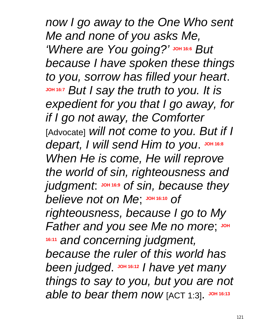*now I go away to the One Who sent Me and none of you asks Me, 'Where are You going?'* **JOH 16:6** *But because I have spoken these things to you, sorrow has filled your heart*. **JOH 16:7** *But I say the truth to you. It is expedient for you that I go away, for if I go not away, the Comforter* [Advocate] *will not come to you. But if I*   $\alpha$  depart, I will send Him to you. JOH 16:8 *When He is come, He will reprove the world of sin, righteousness and judgment*: **JOH 16:9** *of sin, because they believe not on Me*; **JOH 16:10** *of righteousness, because I go to My Father* and you see Me no more; JOH **16:11** *and concerning judgment, because the ruler of this world has*  been judged. JOH 16:12 / have yet many *things to say to you, but you are not able to bear them now* [ACT 1:3]. **JOH 16:13**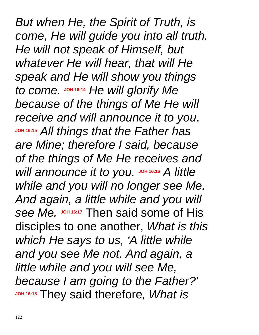*But when He, the Spirit of Truth, is come, He will guide you into all truth. He will not speak of Himself, but whatever He will hear, that will He speak and He will show you things*  to come.  $J$ OH 16:14 *He will glorify Me because of the things of Me He will receive and will announce it to you*. **JOH 16:15** *All things that the Father has are Mine; therefore I said, because of the things of Me He receives and will announce it to you.* **JOH 16:16** *A little while and you will no longer see Me. And again, a little while and you will see Me.* **JOH 16:17** Then said some of His disciples to one another, *What is this which He says to us, 'A little while and you see Me not. And again, a little while and you will see Me, because I am going to the Father?'*  **JOH 16:18** They said therefore*, What is*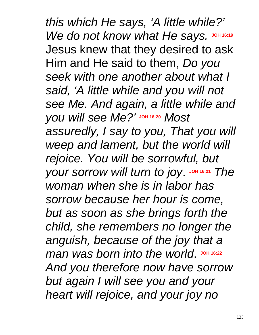*this which He says, 'A little while?' We do not know what He says.* JOH 16:19 Jesus knew that they desired to ask Him and He said to them, *Do you seek with one another about what I said, 'A little while and you will not see Me. And again, a little while and you will see Me?'* **JOH 16:20** *Most assuredly, I say to you, That you will weep and lament, but the world will rejoice. You will be sorrowful, but your sorrow will turn to joy.* JOH 16:21 *The woman when she is in labor has sorrow because her hour is come, but as soon as she brings forth the child, she remembers no longer the anguish, because of the joy that a man* was born into the world. JOH 16:22 *And you therefore now have sorrow but again I will see you and your heart will rejoice, and your joy no*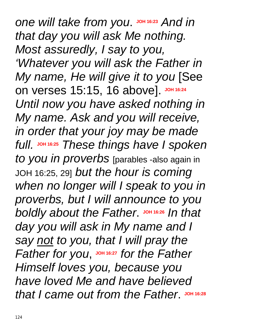*one* will take from you. JOH 16:23 And in *that day you will ask Me nothing. Most assuredly, I say to you, 'Whatever you will ask the Father in My name, He will give it to you* [See on verses 15:15, 16 above]. JOH 16:24 *Until now you have asked nothing in My name. Ask and you will receive, in order that your joy may be made full.* **JOH 16:25** *These things have I spoken to you in proverbs* [parables -also again in JOH 16:25, 29] *but the hour is coming when no longer will I speak to you in proverbs, but I will announce to you boldly* **about the Father. JOH 16:26 In that** *day you will ask in My name and I say not to you, that I will pray the Father* for you, JOH 16:27 for the Father *Himself loves you, because you have loved Me and have believed*  that I came out from the Father. JOH 16:28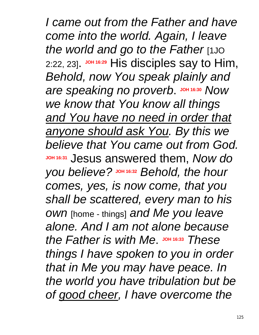*I came out from the Father and have come into the world. Again, I leave the world and go to the Father* [1JO 2:22, 23]. JOH 16:29 His disciples say to Him, *Behold, now You speak plainly and*   $A$  *are* speaking no proverb. JOH 16:30 Now *we know that You know all things and You have no need in order that anyone should ask You. By this we believe that You came out from God.* **JOH 16:31** Jesus answered them, *Now do you believe?* **JOH 16:32** *Behold, the hour comes, yes, is now come, that you shall be scattered, every man to his own* [home - things] *and Me you leave alone. And I am not alone because*  the Father is with Me. JOH 16:33 These *things I have spoken to you in order that in Me you may have peace. In the world you have tribulation but be of good cheer, I have overcome the*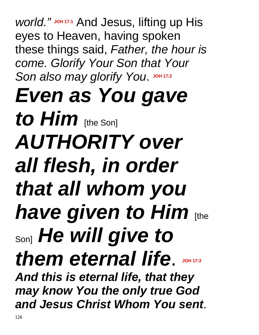*world."* **JOH 17:1** And Jesus, lifting up His eyes to Heaven, having spoken these things said, *Father, the hour is come. Glorify Your Son that Your*   $S$ on also may glorify You. JOH 17:2 *Even as You gave to Him* [the Son] *AUTHORITY over all flesh, in order that all whom you have given to Him* [the Son] *He will give to them eternal life*. **JOH 17:***3 And this is eternal life, that they may know You the only true God and Jesus Christ Whom You sent*.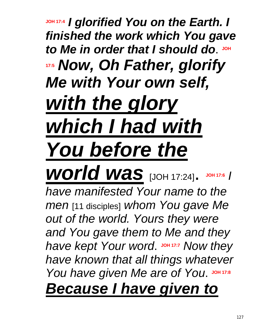# **JOH 17:4** *I glorified You on the Earth. I finished the work which You gave*  to Me in order that I should do. JOH **17:5** *Now, Oh Father, glorify Me with Your own self, with the glory which I had with You before the*

*world was* [JOH 17:24]. **JOH 17:6** *I have manifested Your name to the men* [11 disciples] *whom You gave Me out of the world. Yours they were and You gave them to Me and they*  have kept Your word. **JOH 17:7** Now they *have known that all things whatever You have given Me are of You.* JOH 17:8 *Because I have given to*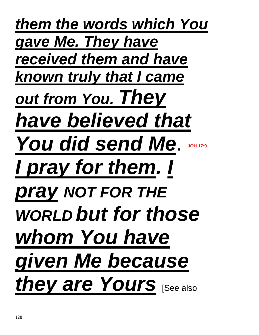*them the words which You gave Me. They have received them and have known truly that I came out from You. They have believed that You did send Me*. **JOH 17:9** *I pray for them. I pray NOT FOR THE WORLD but for those whom You have given Me because they are Yours* [See also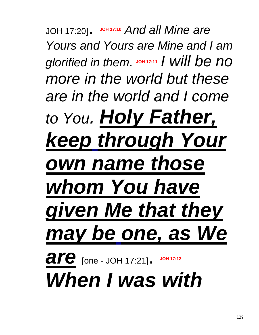JOH 17:20]. **JOH 17:10** *And all Mine are Yours and Yours are Mine and I am*   $g$ *lorified in them.*  $J$ <sup>0H</sup><sub>17:11</sub> *I will be no more in the world but these are in the world and I come to You. Holy Father, keep through Your own name those whom You have given Me that they may be one, as We*  **are** [one - JOH 17:21]. **JOH 17:12** *When I was with*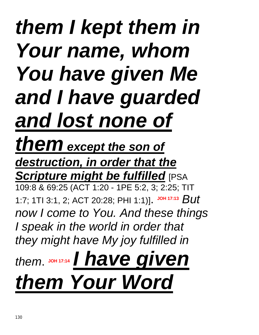# *them I kept them in Your name, whom You have given Me and I have guarded and lost none of them except the son of*

*destruction, in order that the Scripture might be fulfilled* [PSA

109:8 & 69:25 (ACT 1:20 - 1PE 5:2, 3; 2:25; TIT 1:7; 1TI 3:1, 2; ACT 20:28; PHI 1:1)]. **JOH 17:13** *But now I come to You. And these things I speak in the world in order that they might have My joy fulfilled in* 

*them*. **JOH 17:14** *I have given them Your Word*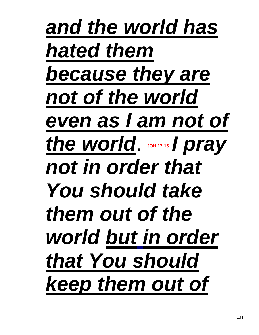*and the world has hated them because they are not of the world even as I am not of* **the world.** JOH 17:15 *I pray not in order that You should take them out of the world but in order that You should keep them out of*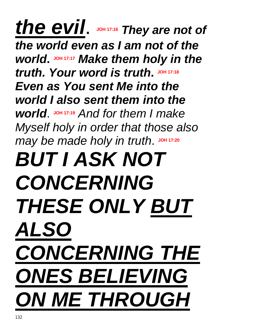# *the evil*. **JOH 17:16** *They are not of the world even as I am not of the world***. JOH 17:17** *Make them holy in the truth. Your word is truth***. JOH 17:18** *Even as You sent Me into the world I also sent them into the world.*  $J$   $O$   $H$   $17:19$  *And for them I make Myself holy in order that those also may be made holy in truth.* JOH 17:20 *BUT I ASK NOT CONCERNING THESE ONLY BUT ALSO CONCERNING THE ONES BELIEVING ON ME THROUGH*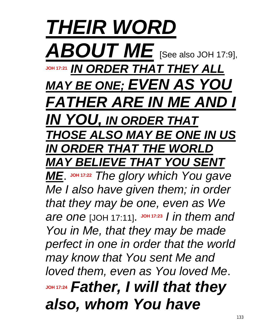*THEIR WORD ABOUT ME* [See also JOH 17:9], **JOH 17:21** *IN ORDER THAT THEY ALL MAY BE ONE; EVEN AS YOU FATHER ARE IN ME AND I IN YOU, IN ORDER THAT THOSE ALSO MAY BE ONE IN US IN ORDER THAT THE WORLD MAY BELIEVE THAT YOU SENT ME*. **JOH 17:22** *The glory which You gave Me I also have given them; in order that they may be one, even as We are one* [JOH 17:11]. **JOH 17:23** *I in them and You in Me, that they may be made perfect in one in order that the world may know that You sent Me and loved them, even as You loved Me*. **JOH 17:24** *Father, I will that they also, whom You have*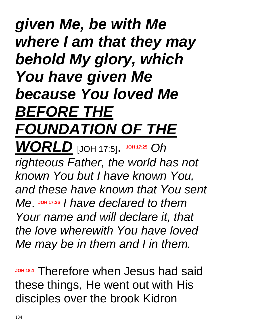### *given Me, be with Me where I am that they may behold My glory, which You have given Me because You loved Me BEFORE THE FOUNDATION OF THE WORLD* [JOH 17:5]. **JOH 17:25** *Oh righteous Father, the world has not known You but I have known You, and these have known that You sent Me*. **JOH 17:26** *I have declared to them Your name and will declare it, that the love wherewith You have loved Me may be in them and I in them.*

**JOH 18:1** Therefore when Jesus had said these things, He went out with His disciples over the brook Kidron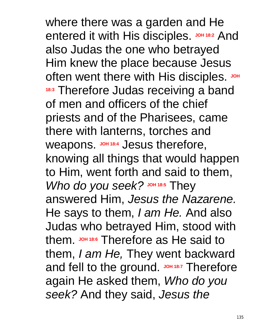where there was a garden and He entered it with His disciples. JOH 18:2 And also Judas the one who betrayed Him knew the place because Jesus often went there with His disciples. JOH **18:3** Therefore Judas receiving a band of men and officers of the chief priests and of the Pharisees, came there with lanterns, torches and weapons. **JOH 18:4** Jesus therefore, knowing all things that would happen to Him, went forth and said to them, *Who do you seek?* JOH 18:5 They answered Him, *Jesus the Nazarene.* He says to them, *I am He.* And also Judas who betrayed Him, stood with them. **JOH 18:6** Therefore as He said to them, *I am He,* They went backward and fell to the ground. **JOH 18:7** Therefore again He asked them, *Who do you seek?* And they said, *Jesus the*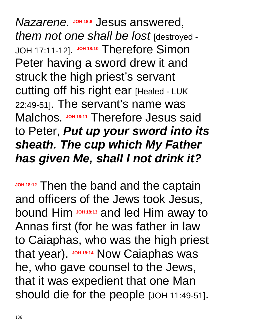$N$ *azarene.* **Jesus** answered, *them not one shall be lost* [destroyed - JOH 17:11-12]. **JOH 18:10** Therefore Simon Peter having a sword drew it and struck the high priest's servant cutting off his right ear [Healed - LUK 22:49-51]. The servant's name was Malchos. JOH 18:11 Therefore Jesus said to Peter, *Put up your sword into its sheath. The cup which My Father has given Me, shall I not drink it?* 

**JOH 18:12** Then the band and the captain and officers of the Jews took Jesus, bound Him **JOH 18:13** and led Him away to Annas first (for he was father in law to Caiaphas, who was the high priest that year). JOH 18:14 Now Caiaphas was he, who gave counsel to the Jews, that it was expedient that one Man should die for the people [JOH 11:49-51].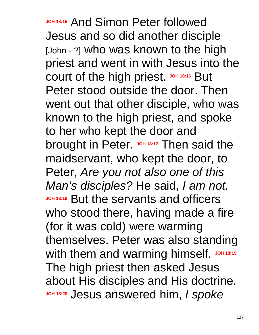**JOH 18:15** And Simon Peter followed Jesus and so did another disciple [John - ?] who was known to the high priest and went in with Jesus into the court of the high priest. **JOH 18:16** But Peter stood outside the door. Then went out that other disciple, who was known to the high priest, and spoke to her who kept the door and brought in Peter. JOH 18:17 Then said the maidservant, who kept the door, to Peter, *Are you not also one of this Man's disciples?* He said, *I am not.* **JOH 18:18** But the servants and officers who stood there, having made a fire (for it was cold) were warming themselves. Peter was also standing With them and warming himself. **JOH 18:19** The high priest then asked Jesus about His disciples and His doctrine. **JOH 18:20** Jesus answered him, *I spoke*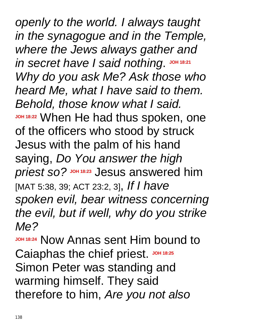*openly to the world. I always taught in the synagogue and in the Temple, where the Jews always gather and*   $in$  *secret have I said nothing.* JOH 18:21 *Why do you ask Me? Ask those who heard Me, what I have said to them. Behold, those know what I said.* **JOH 18:22** When He had thus spoken, one of the officers who stood by struck Jesus with the palm of his hand saying, *Do You answer the high*  **priest so?** Jesus answered him [MAT 5:38, 39; ACT 23:2, 3], *If I have spoken evil, bear witness concerning the evil, but if well, why do you strike Me?*

**JOH 18:24 Now Annas sent Him bound to** Caiaphas the chief priest. JOH 18:25 Simon Peter was standing and warming himself. They said therefore to him, *Are you not also*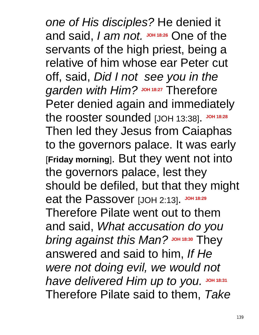*one of His disciples?* He denied it and said, *I am not.*  $J$ <sup>oh 18:26</sup> One of the servants of the high priest, being a relative of him whose ear Peter cut off, said, *Did I not see you in the garden with Him?* **JOH 18:27** Therefore Peter denied again and immediately the rooster sounded [JOH 13:38]. JOH 18:28 Then led they Jesus from Caiaphas to the governors palace. It was early [**Friday morning**]. But they went not into the governors palace, lest they should be defiled, but that they might eat the Passover [JOH 2:13]. JOH 18:29 Therefore Pilate went out to them and said, *What accusation do you bring* against this Man? JOH 18:30 They answered and said to him, *If He were not doing evil, we would not have delivered Him up to you.* JOH 18:31 Therefore Pilate said to them, *Take*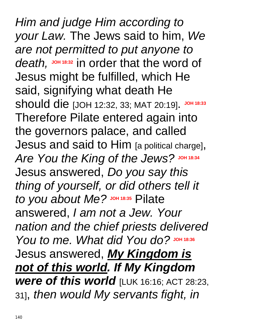*Him and judge Him according to your Law.* The Jews said to him, *We are not permitted to put anyone to*  death, JOH 18:32 in order that the word of Jesus might be fulfilled, which He said, signifying what death He Should die [JOH 12:32, 33; MAT 20:19]. JOH 18:33 Therefore Pilate entered again into the governors palace, and called Jesus and said to Him [a political charge], Are You the King of the Jews? JOH 18:34 Jesus answered, *Do you say this thing of yourself, or did others tell it to you about Me?* **JOH 18:35** Pilate answered, *I am not a Jew. Your nation and the chief priests delivered You to me. What did You do?* JOH 18:36 Jesus answered, *My Kingdom is not of this world. If My Kingdom were of this world* [LUK 16:16; ACT 28:23, 31], *then would My servants fight, in*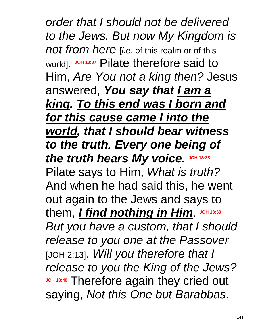*order that I should not be delivered to the Jews. But now My Kingdom is not from here* [*i*.*e*. of this realm or of this world]. **JOH 18:37** Pilate therefore said to Him, *Are You not a king then?* Jesus answered, *You say that I am a king. To this end was I born and for this cause came I into the world, that I should bear witness to the truth. Every one being of the truth hears My voice.* **JOH 18:38** Pilate says to Him, *What is truth?* And when he had said this, he went out again to the Jews and says to them, *I find nothing in Him*. **JOH 18:39** *But you have a custom, that I should release to you one at the Passover* [JOH 2:13]. *Will you therefore that I release to you the King of the Jews?*  **JOH 18:40** Therefore again they cried out saying, *Not this One but Barabbas*.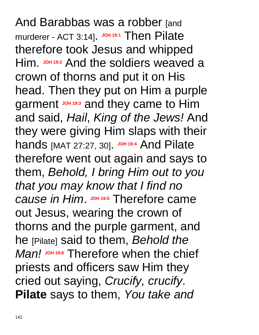And Barabbas was a robber [and murderer - ACT 3:14]. JOH 19:1 Then Pilate therefore took Jesus and whipped Him. **JOH 19:2** And the soldiers weaved a crown of thorns and put it on His head. Then they put on Him a purple garment **JOH 19:3** and they came to Him and said, *Hail*, *King of the Jews!* And they were giving Him slaps with their **hands** [MAT 27:27, 30]. JOH 19:4 And Pilate therefore went out again and says to them, *Behold, I bring Him out to you that you may know that I find no Cause in Him.* JOH 19:5 Therefore came out Jesus, wearing the crown of thorns and the purple garment, and he [Pilate] said to them, *Behold the Man!* **JOH 19:6** Therefore when the chief priests and officers saw Him they cried out saying, *Crucify, crucify*. **Pilate** says to them, *You take and*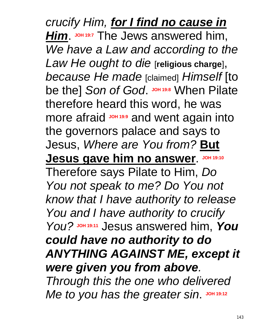*crucify Him, for I find no cause in Him*. **JOH 19:7** The Jews answered him, *We have a Law and according to the Law He ought to die* [**religious charge**], *because He made* [claimed] *Himself* [to be the] Son of God. JOH 19:8 When Pilate therefore heard this word, he was more afraid **JOH 19:9** and went again into the governors palace and says to Jesus, *Where are You from?* **But Jesus gave him no answer**. **JOH 19:10** Therefore says Pilate to Him, *Do You not speak to me? Do You not know that I have authority to release You and I have authority to crucify You?* **JOH 19:11** Jesus answered him, *You could have no authority to do ANYTHING AGAINST ME, except it were given you from above. Through this the one who delivered*  Me to you has the greater sin. JOH 19:12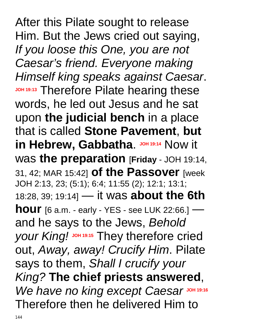After this Pilate sought to release Him. But the Jews cried out saying, *If you loose this One, you are not Caesar's friend. Everyone making Himself king speaks against Caesar*. **JOH 19:13** Therefore Pilate hearing these words, he led out Jesus and he sat upon **the judicial bench** in a place that is called **Stone Pavement**, **but in Hebrew, Gabbatha. JOH 19:14 Now it** was **the preparation** [**Friday** - JOH 19:14, 31, 42; MAR 15:42] **of the Passover** [week JOH 2:13, 23; (5:1); 6:4; 11:55 (2); 12:1; 13:1; 18:28, 39; 19:14] — it was **about the 6th hour** [6 a.m. - early - YES - see LUK 22:66.] and he says to the Jews, *Behold your King!* **JOH 19:15** They therefore cried out, *Away, away! Crucify Him*. Pilate says to them, *Shall I crucify your King?* **The chief priests answered**, *We have no king except Caesar JOH 19:16* Therefore then he delivered Him to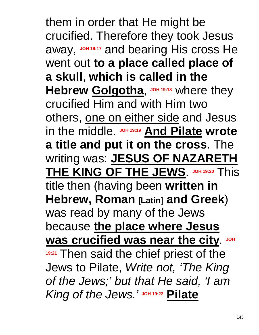them in order that He might be crucified. Therefore they took Jesus away, **JOH 19:17** and bearing His cross He went out **to a place called place of a skull**, **which is called in the**  Hebrew **Golgotha**, JOH 19:18 where they crucified Him and with Him two others, one on either side and Jesus in the middle. **JOH 19:19 And Pilate wrote a title and put it on the cross**. The writing was: **JESUS OF NAZARETH THE KING OF THE JEWS**. **JOH 19:20** This title then (having been **written in Hebrew, Roman** [**Latin**] **and Greek**) was read by many of the Jews because **the place where Jesus was crucified was near the city. JOH 19:21** Then said the chief priest of the Jews to Pilate, *Write not, 'The King of the Jews;' but that He said, 'I am King of the Jews.'* **JOH 19:22 Pilate**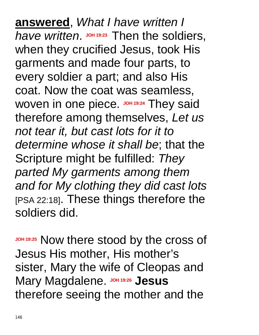**answered**, *What I have written I*  have written. JOH 19:23 Then the soldiers, when they crucified Jesus, took His garments and made four parts, to every soldier a part; and also His coat. Now the coat was seamless, Woven in one piece. JOH 19:24 They said therefore among themselves, *Let us not tear it, but cast lots for it to determine whose it shall be*; that the Scripture might be fulfilled: *They parted My garments among them and for My clothing they did cast lots* [PSA 22:18]. These things therefore the soldiers did.

**JOH 19:25** Now there stood by the cross of Jesus His mother, His mother's sister, Mary the wife of Cleopas and **Mary Magdalene.** Johnson Jesus therefore seeing the mother and the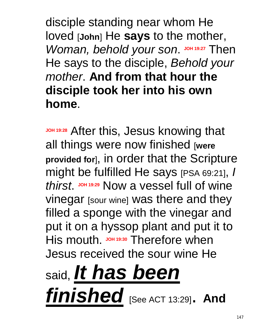disciple standing near whom He loved [**John**] He **says** to the mother, *Woman, behold your son.* JOH 19:27 Then He says to the disciple, *Behold your mother*. **And from that hour the disciple took her into his own home**.

**JOH 19:28** After this, Jesus knowing that all things were now finished [**were provided for**], in order that the Scripture might be fulfilled He says [PSA 69:21], *I thirst*. **JOH 19:29** Now a vessel full of wine vinegar [sour wine] was there and they filled a sponge with the vinegar and put it on a hyssop plant and put it to His mouth **JOH 19:30** Therefore when Jesus received the sour wine He

# said, *It has been finished* [See ACT 13:29]. **And**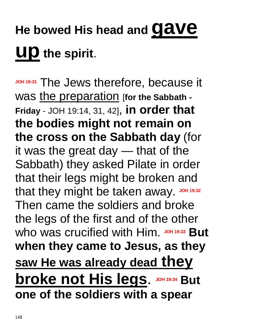## **He bowed His head and gave up the spirit**.

**JOH 19:31** The Jews therefore, because it was the preparation [**for the Sabbath - Friday** - JOH 19:14, 31, 42], **in order that the bodies might not remain on the cross on the Sabbath day** (for it was the great day — that of the Sabbath) they asked Pilate in order that their legs might be broken and that they might be taken away. Joh 19:32 Then came the soldiers and broke the legs of the first and of the other who was crucified with Him. JOH 19:33 But **when they came to Jesus, as they saw He was already dead they broke not His legs. JOH 19:34 But one of the soldiers with a spear**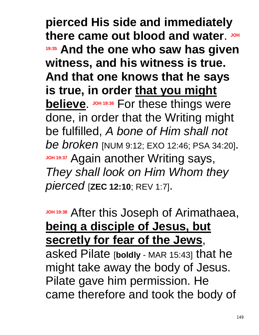**pierced His side and immediately**  there came out blood and water. JOH **19:35 And the one who saw has given witness, and his witness is true. And that one knows that he says is true, in order that you might believe.** JOH 19:36 For these things were done, in order that the Writing might be fulfilled, *A bone of Him shall not be broken* [NUM 9:12; EXO 12:46; PSA 34:20]. **JOH 19:37 Again another Writing says,** *They shall look on Him Whom they pierced* [**ZEC 12:10**; REV 1:7].

**JOH 19:38** After this Joseph of Arimathaea, **being a disciple of Jesus, but secretly for fear of the Jews**,

asked Pilate [**boldly** - MAR 15:43] that he might take away the body of Jesus. Pilate gave him permission. He came therefore and took the body of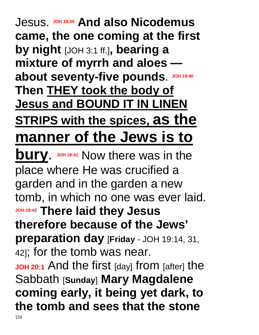#### Jesus. **JOH 19:39 And also Nicodemus came, the one coming at the first by night** [JOH 3:1 ff.]**, bearing a mixture of myrrh and aloes**  about seventy-five pounds. JOH 19:40 **Then THEY took the body of Jesus and BOUND IT IN LINEN STRIPS with the spices, as the manner of the Jews is to bury**. JOH 19:41 Now there was in the place where He was crucified a garden and in the garden a new tomb, in which no one was ever laid. **JOH 19:42 There laid they Jesus therefore because of the Jews' preparation day** [**Friday** - JOH 19:14, 31, 42]; for the tomb was near. **JOH 20:1** And the first [day] from [after] the Sabbath [**Sunday**] **Mary Magdalene coming early, it being yet dark, to the tomb and sees that the stone**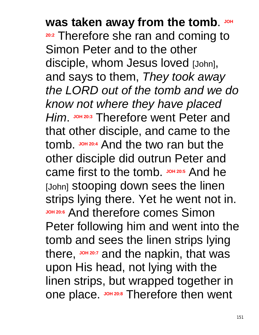**was taken away from the tomb.** JOH **20:2** Therefore she ran and coming to Simon Peter and to the other disciple, whom Jesus loved [John], and says to them, *They took away the LORD out of the tomb and we do know not where they have placed Him*. **JOH 20:3** Therefore went Peter and that other disciple, and came to the tomb. **JOH 20:4** And the two ran but the other disciple did outrun Peter and came first to the tomb. JOH 20:5 And he [John] stooping down sees the linen strips lying there. Yet he went not in. **JOH 20:6** And therefore comes Simon Peter following him and went into the tomb and sees the linen strips lying there,  $J$ <sup>OH 20:7</sup> and the napkin, that was upon His head, not lying with the linen strips, but wrapped together in one place. **JOH 20:8** Therefore then went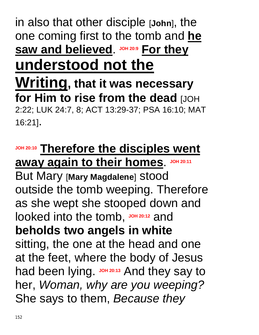#### in also that other disciple [**John**], the one coming first to the tomb and **he saw and believed**. **JOH 20:9 For they understood not the**

#### **Writing, that it was necessary for Him to rise from the dead** [JOH 2:22; LUK 24:7, 8; ACT 13:29-37; PSA 16:10; MAT 16:21].

**JOH 20:10 Therefore the disciples went away again to their homes**. **JOH 20:11**

But Mary [**Mary Magdalene**] stood outside the tomb weeping. Therefore as she wept she stooped down and looked into the tomb, **JOH 20:12** and **beholds two angels in white** sitting, the one at the head and one at the feet, where the body of Jesus had been lying. JOH 20:13 And they say to her, *Woman, why are you weeping?* She says to them, *Because they*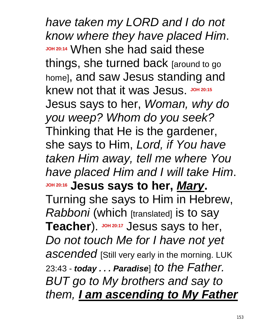*have taken my LORD and I do not know where they have placed Him*. **JOH 20:14** When she had said these things, she turned back [around to go home], and saw Jesus standing and knew not that it was Jesus. JOH 20:15 Jesus says to her, *Woman, why do you weep? Whom do you seek?* Thinking that He is the gardener, she says to Him, *Lord, if You have taken Him away, tell me where You have placed Him and I will take Him*. **JOH 20:16 Jesus says to her,** *Mary***.** Turning she says to Him in Hebrew, *Rabboni* (which [translated] is to say Teacher). JOH 20:17 Jesus says to her, *Do not touch Me for I have not yet*  ascended [Still very early in the morning. LUK 23:43 - *today . . . Paradise*] *to the Father. BUT go to My brothers and say to them, I am ascending to My Father*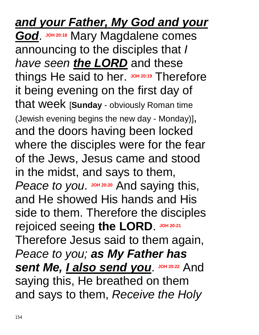### *and your Father, My God and your*

**God. JOH 20:18 Mary Magdalene comes** announcing to the disciples that *I have seen the LORD* and these things He said to her. JOH 20:19 Therefore it being evening on the first day of that week [**Sunday** - obviously Roman time (Jewish evening begins the new day - Monday)], and the doors having been locked where the disciples were for the fear of the Jews, Jesus came and stood in the midst, and says to them, Peace to you. JOH 20:20 And saying this, and He showed His hands and His side to them. Therefore the disciples rejoiced seeing **the LORD**. **JOH 20:21** Therefore Jesus said to them again, *Peace to you; as My Father has sent Me, I also send you.* JOH 20:22 And saying this, He breathed on them and says to them, *Receive the Holy*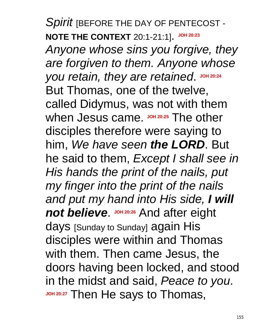*Spirit* [BEFORE THE DAY OF PENTECOST - **NOTE THE CONTEXT** 20:1-21:1].  $JOH 20:23$ 

*Anyone whose sins you forgive, they are forgiven to them. Anyone whose*   $y$ ou retain, they are retained. JOH 20:24 But Thomas, one of the twelve, called Didymus, was not with them when Jesus came. **JOH 20:25** The other disciples therefore were saying to him, *We have seen the LORD*. But he said to them, *Except I shall see in His hands the print of the nails, put my finger into the print of the nails and put my hand into His side, I will*  **not believe.** JOH 20:26 And after eight days [Sunday to Sunday] again His disciples were within and Thomas with them. Then came Jesus, the doors having been locked, and stood in the midst and said, *Peace to you*. **JOH 20:27** Then He says to Thomas,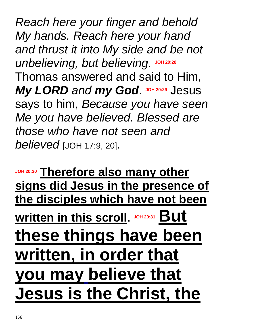*Reach here your finger and behold My hands. Reach here your hand and thrust it into My side and be not*   $unbelieving, but believing.$ Thomas answered and said to Him, *My LORD and my God* JOH 20:29 Jesus says to him, *Because you have seen Me you have believed. Blessed are those who have not seen and believed* [JOH 17:9, 20].

**JOH 20:30 Therefore also many other signs did Jesus in the presence of the disciples which have not been <u>Written in this scroll. Joh 20:31 But</u> these things have been written, in order that you may believe that Jesus is the Christ, the**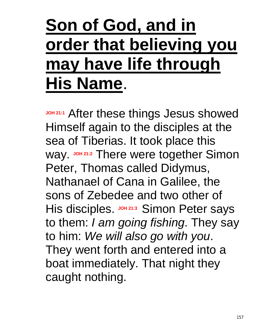### **Son of God, and in order that believing you may have life through His Name**.

**JOH 21:1** After these things Jesus showed Himself again to the disciples at the sea of Tiberias. It took place this way. **JOH 21:2** There were together Simon Peter, Thomas called Didymus, Nathanael of Cana in Galilee, the sons of Zebedee and two other of His disciples. **JOH 21:3** Simon Peter says to them: *I am going fishing*. They say to him: *We will also go with you*. They went forth and entered into a boat immediately. That night they caught nothing.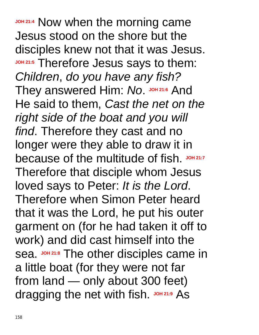**JOH 21:4** Now when the morning came Jesus stood on the shore but the disciples knew not that it was Jesus. **JOH 21:5** Therefore Jesus says to them: *Children*, *do you have any fish?* They answered Him: No. JOH 21:6 And He said to them, *Cast the net on the right side of the boat and you will find*. Therefore they cast and no longer were they able to draw it in because of the multitude of fish. JOH 21:7 Therefore that disciple whom Jesus loved says to Peter: *It is the Lord*. Therefore when Simon Peter heard that it was the Lord, he put his outer garment on (for he had taken it off to work) and did cast himself into the sea. **JOH 21:8** The other disciples came in a little boat (for they were not far from land — only about 300 feet) dragging the net with fish. JOH 21:9 As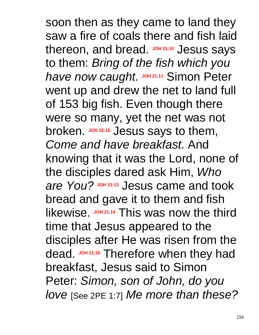soon then as they came to land they saw a fire of coals there and fish laid thereon, and bread. **JOH 21:10** Jesus says to them: *Bring of the fish which you*  **have now caught.** JOH 21:11 Simon Peter went up and drew the net to land full of 153 big fish. Even though there were so many, yet the net was not broken. **JOH 21:12** Jesus says to them, *Come and have breakfast*. And knowing that it was the Lord, none of the disciples dared ask Him, *Who are* You? Joh 21:13 Jesus came and took bread and gave it to them and fish likewise. **JOH 21:14** This was now the third time that Jesus appeared to the disciples after He was risen from the dead. **JOH 21:15** Therefore when they had breakfast, Jesus said to Simon Peter: *Simon, son of John, do you love* [See 2PE 1:7] *Me more than these?*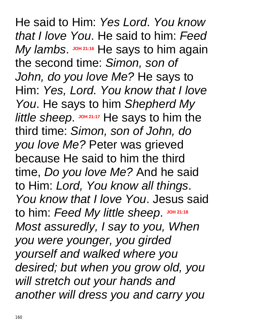He said to Him: *Yes Lord*. *You know that I love You*. He said to him: *Feed* My lambs. **JOH 21:16** He says to him again the second time: *Simon, son of John, do you love Me?* He says to Him: *Yes, Lord. You know that I love You*. He says to him *Shepherd My little sheep.* **JOH 21:17** He says to him the third time: *Simon, son of John, do you love Me?* Peter was grieved because He said to him the third time, *Do you love Me?* And he said to Him: *Lord, You know all things*. *You know that I love You*. Jesus said **to him: Feed My little sheep. JOH 21:18** *Most assuredly, I say to you, When you were younger, you girded yourself and walked where you desired; but when you grow old, you will stretch out your hands and another will dress you and carry you*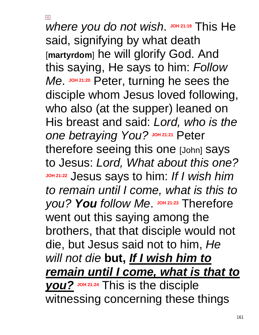$\vert x \vert$ 

*where you do not wish.* JOH 21:19 This He said, signifying by what death [**martyrdom**] he will glorify God. And this saying, He says to him: *Follow Me*. **JOH 21:20** Peter, turning he sees the disciple whom Jesus loved following, who also (at the supper) leaned on His breast and said: *Lord, who is the*  **one** betraying You? JOH 21:21 Peter therefore seeing this one [John] says to Jesus: *Lord, What about this one?* **JOH 21:22** Jesus says to him: *If I wish him to remain until I come, what is this to you? You follow Me.*  $\frac{1}{2}$  *JOH* 21:23 Therefore went out this saying among the brothers, that that disciple would not die, but Jesus said not to him, *He will not die* **but,** *If I wish him to remain until I come, what is that to you?* **JOH 21:24** This is the disciple witnessing concerning these things